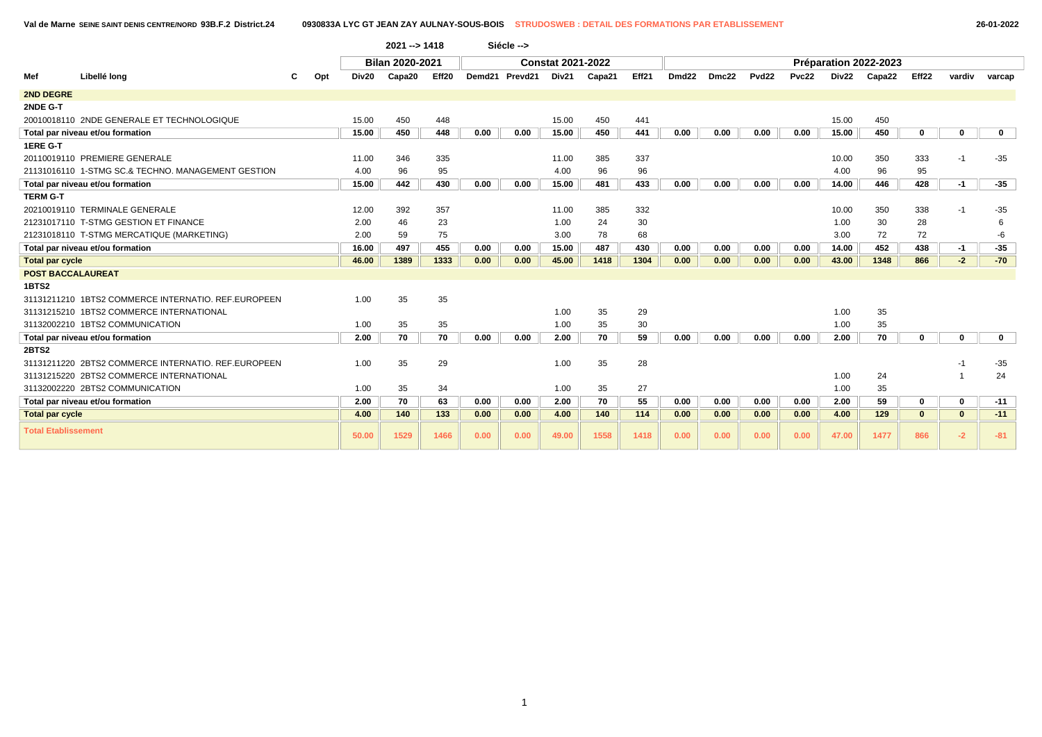|                            |                                                     |     |       | $2021 - 51418$  |       |      | Siécle -->     |                          |        |       |                   |       |              |       |       |                       |          |              |             |
|----------------------------|-----------------------------------------------------|-----|-------|-----------------|-------|------|----------------|--------------------------|--------|-------|-------------------|-------|--------------|-------|-------|-----------------------|----------|--------------|-------------|
|                            |                                                     |     |       | Bilan 2020-2021 |       |      |                | <b>Constat 2021-2022</b> |        |       |                   |       |              |       |       | Préparation 2022-2023 |          |              |             |
| Mef                        | Libellé long                                        | Opt | Div20 | Capa20          | Eff20 |      | Demd21 Prevd21 | Div21                    | Capa21 | Eff21 | Dmd <sub>22</sub> | Dmc22 | <b>Pvd22</b> | Pvc22 | Div22 | Capa22                | Eff22    | vardiv       | varcap      |
| 2ND DEGRE                  |                                                     |     |       |                 |       |      |                |                          |        |       |                   |       |              |       |       |                       |          |              |             |
| 2NDE G-T                   |                                                     |     |       |                 |       |      |                |                          |        |       |                   |       |              |       |       |                       |          |              |             |
|                            | 20010018110 2NDE GENERALE ET TECHNOLOGIQUE          |     | 15.00 | 450             | 448   |      |                | 15.00                    | 450    | 441   |                   |       |              |       | 15.00 | 450                   |          |              |             |
|                            | Total par niveau et/ou formation                    |     | 15.00 | 450             | 448   | 0.00 | 0.00           | 15.00                    | 450    | 441   | 0.00              | 0.00  | 0.00         | 0.00  | 15.00 | 450                   | 0        | 0            | $\mathbf 0$ |
| 1ERE G-T                   |                                                     |     |       |                 |       |      |                |                          |        |       |                   |       |              |       |       |                       |          |              |             |
|                            | 20110019110 PREMIERE GENERALE                       |     | 11.00 | 346             | 335   |      |                | 11.00                    | 385    | 337   |                   |       |              |       | 10.00 | 350                   | 333      | -1           | $-35$       |
|                            | 21131016110 1-STMG SC.& TECHNO, MANAGEMENT GESTION  |     | 4.00  | 96              | 95    |      |                | 4.00                     | 96     | 96    |                   |       |              |       | 4.00  | 96                    | 95       |              |             |
|                            | Total par niveau et/ou formation                    |     | 15.00 | 442             | 430   | 0.00 | 0.00           | 15.00                    | 481    | 433   | 0.00              | 0.00  | 0.00         | 0.00  | 14.00 | 446                   | 428      | $-1$         | $-35$       |
| <b>TERM G-T</b>            |                                                     |     |       |                 |       |      |                |                          |        |       |                   |       |              |       |       |                       |          |              |             |
|                            | 20210019110 TERMINALE GENERALE                      |     | 12.00 | 392             | 357   |      |                | 11.00                    | 385    | 332   |                   |       |              |       | 10.00 | 350                   | 338      | $-1$         | $-35$       |
|                            | 21231017110 T-STMG GESTION ET FINANCE               |     | 2.00  | 46              | 23    |      |                | 1.00                     | 24     | 30    |                   |       |              |       | 1.00  | 30                    | 28       |              | 6           |
|                            | 21231018110 T-STMG MERCATIQUE (MARKETING)           |     | 2.00  | 59              | 75    |      |                | 3.00                     | 78     | 68    |                   |       |              |       | 3.00  | 72                    | 72       |              | -6          |
|                            | Total par niveau et/ou formation                    |     | 16.00 | 497             | 455   | 0.00 | 0.00           | 15.00                    | 487    | 430   | 0.00              | 0.00  | 0.00         | 0.00  | 14.00 | 452                   | 438      | $-1$         | $-35$       |
| <b>Total par cycle</b>     |                                                     |     | 46.00 | 1389            | 1333  | 0.00 | 0.00           | 45.00                    | 1418   | 1304  | 0.00              | 0.00  | 0.00         | 0.00  | 43.00 | 1348                  | 866      | $-2$         | $-70$       |
| <b>POST BACCALAUREAT</b>   |                                                     |     |       |                 |       |      |                |                          |        |       |                   |       |              |       |       |                       |          |              |             |
| 1BTS2                      |                                                     |     |       |                 |       |      |                |                          |        |       |                   |       |              |       |       |                       |          |              |             |
|                            | 31131211210 1BTS2 COMMERCE INTERNATIO, REF.EUROPEEN |     | 1.00  | 35              | 35    |      |                |                          |        |       |                   |       |              |       |       |                       |          |              |             |
|                            | 31131215210 1BTS2 COMMERCE INTERNATIONAL            |     |       |                 |       |      |                | 1.00                     | 35     | 29    |                   |       |              |       | 1.00  | 35                    |          |              |             |
|                            | 31132002210 1BTS2 COMMUNICATION                     |     | 1.00  | 35              | 35    |      |                | 1.00                     | 35     | 30    |                   |       |              |       | 1.00  | 35                    |          |              |             |
|                            | Total par niveau et/ou formation                    |     | 2.00  | 70              | 70    | 0.00 | 0.00           | 2.00                     | 70     | 59    | 0.00              | 0.00  | 0.00         | 0.00  | 2.00  | 70                    | $\bf{0}$ | 0            | $\mathbf 0$ |
| 2BTS2                      |                                                     |     |       |                 |       |      |                |                          |        |       |                   |       |              |       |       |                       |          |              |             |
|                            | 31131211220 2BTS2 COMMERCE INTERNATIO. REF.EUROPEEN |     | 1.00  | 35              | 29    |      |                | 1.00                     | 35     | 28    |                   |       |              |       |       |                       |          |              | $-35$       |
|                            | 31131215220 2BTS2 COMMERCE INTERNATIONAL            |     |       |                 |       |      |                |                          |        |       |                   |       |              |       | 1.00  | 24                    |          |              | 24          |
|                            | 31132002220 2BTS2 COMMUNICATION                     |     | 1.00  | 35              | 34    |      |                | 1.00                     | 35     | 27    |                   |       |              |       | 1.00  | 35                    |          |              |             |
|                            | Total par niveau et/ou formation                    |     | 2.00  | 70              | 63    | 0.00 | 0.00           | 2.00                     | 70     | 55    | 0.00              | 0.00  | 0.00         | 0.00  | 2.00  | 59                    | 0        | 0            | $-11$       |
| <b>Total par cycle</b>     |                                                     |     | 4.00  | 140             | 133   | 0.00 | 0.00           | 4.00                     | 140    | 114   | 0.00              | 0.00  | 0.00         | 0.00  | 4.00  | 129                   | $\bf{0}$ | $\mathbf{0}$ | $-11$       |
| <b>Total Etablissement</b> |                                                     |     | 50.00 | 1529            | 1466  | 0.00 | 0.00           | 49.00                    | 1558   | 1418  | 0.00              | 0.00  | 0.00         | 0.00  | 47.00 | 1477                  | 866      | $-2$         | $-81$       |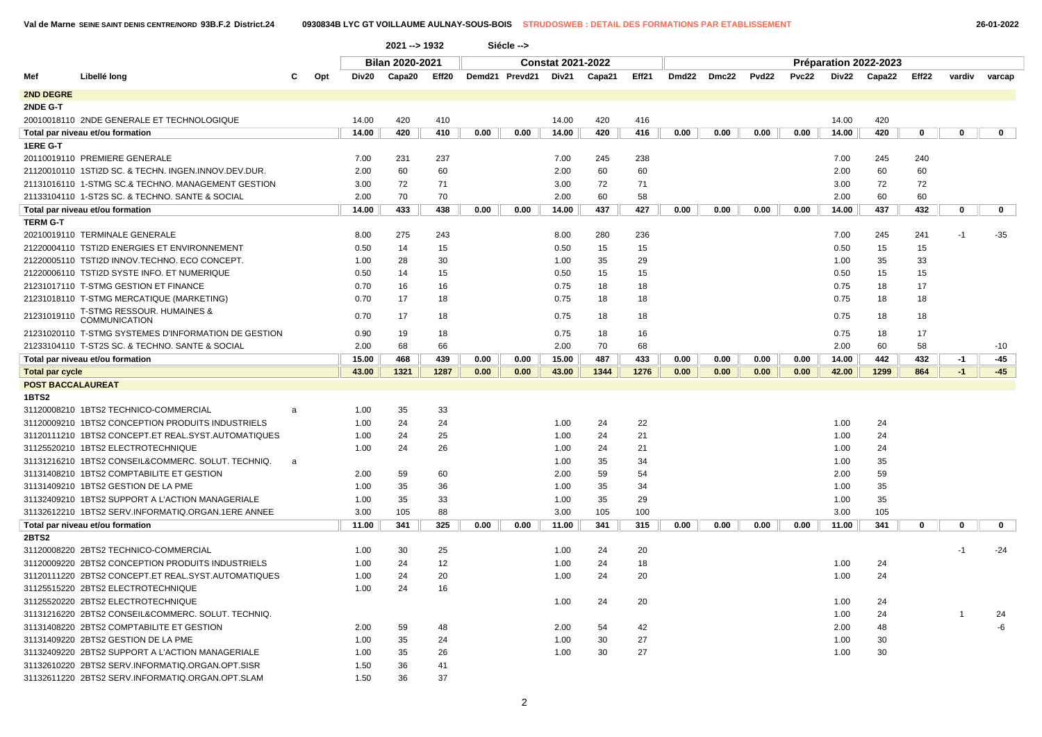|                          |                                                      |   |     |       | $2021 - 1932$          |       |      | Siécle -->     |                          |        |       |       |       |       |       |       |                       |       |        |        |              |
|--------------------------|------------------------------------------------------|---|-----|-------|------------------------|-------|------|----------------|--------------------------|--------|-------|-------|-------|-------|-------|-------|-----------------------|-------|--------|--------|--------------|
|                          |                                                      |   |     |       | <b>Bilan 2020-2021</b> |       |      |                | <b>Constat 2021-2022</b> |        |       |       |       |       |       |       | Préparation 2022-2023 |       |        |        |              |
| Mef                      | Libellé long                                         | c | Opt | Div20 | Capa20                 | Eff20 |      | Demd21 Prevd21 | Div21                    | Capa21 | Eff21 | Dmd22 | Dmc22 | Pvd22 | Pvc22 |       | Div22 Capa22          | Eff22 | vardiv | varcap |              |
| <b>2ND DEGRE</b>         |                                                      |   |     |       |                        |       |      |                |                          |        |       |       |       |       |       |       |                       |       |        |        |              |
| 2NDE G-T                 |                                                      |   |     |       |                        |       |      |                |                          |        |       |       |       |       |       |       |                       |       |        |        |              |
|                          | 20010018110 2NDE GENERALE ET TECHNOLOGIQUE           |   |     | 14.00 | 420                    | 410   |      |                | 14.00                    | 420    | 416   |       |       |       |       | 14.00 | 420                   |       |        |        |              |
|                          | Total par niveau et/ou formation                     |   |     | 14.00 | 420                    | 410   | 0.00 | 0.00           | 14.00                    | 420    | 416   | 0.00  | 0.00  | 0.00  | 0.00  | 14.00 | 420                   | 0     | 0      |        | $\mathbf{0}$ |
| 1ERE G-T                 |                                                      |   |     |       |                        |       |      |                |                          |        |       |       |       |       |       |       |                       |       |        |        |              |
|                          | 20110019110 PREMIERE GENERALE                        |   |     | 7.00  | 231                    | 237   |      |                | 7.00                     | 245    | 238   |       |       |       |       | 7.00  | 245                   | 240   |        |        |              |
|                          | 21120010110 1STI2D SC. & TECHN. INGEN.INNOV.DEV.DUR. |   |     | 2.00  | 60                     | 60    |      |                | 2.00                     | 60     | 60    |       |       |       |       | 2.00  | 60                    | 60    |        |        |              |
|                          | 21131016110 1-STMG SC.& TECHNO, MANAGEMENT GESTION   |   |     | 3.00  | 72                     | 71    |      |                | 3.00                     | 72     | 71    |       |       |       |       | 3.00  | 72                    | 72    |        |        |              |
|                          | 21133104110 1-ST2S SC. & TECHNO. SANTE & SOCIAL      |   |     | 2.00  | 70                     | 70    |      |                | 2.00                     | 60     | 58    |       |       |       |       | 2.00  | 60                    | 60    |        |        |              |
|                          | Total par niveau et/ou formation                     |   |     | 14.00 | 433                    | 438   | 0.00 | 0.00           | 14.00                    | 437    | 427   | 0.00  | 0.00  | 0.00  | 0.00  | 14.00 | 437                   | 432   | 0      |        | $\mathbf{0}$ |
| <b>TERM G-T</b>          |                                                      |   |     |       |                        |       |      |                |                          |        |       |       |       |       |       |       |                       |       |        |        |              |
|                          | 20210019110 TERMINALE GENERALE                       |   |     | 8.00  | 275                    | 243   |      |                | 8.00                     | 280    | 236   |       |       |       |       | 7.00  | 245                   | 241   | $-1$   | -35    |              |
|                          | 21220004110 TSTI2D ENERGIES ET ENVIRONNEMENT         |   |     | 0.50  | 14                     | 15    |      |                | 0.50                     | 15     | 15    |       |       |       |       | 0.50  | 15                    | 15    |        |        |              |
|                          | 21220005110 TSTI2D INNOV.TECHNO. ECO CONCEPT.        |   |     | 1.00  | 28                     | 30    |      |                | 1.00                     | 35     | 29    |       |       |       |       | 1.00  | 35                    | 33    |        |        |              |
|                          | 21220006110 TSTI2D SYSTE INFO. ET NUMERIQUE          |   |     | 0.50  | 14                     | 15    |      |                | 0.50                     | 15     | 15    |       |       |       |       | 0.50  | 15                    | 15    |        |        |              |
|                          | 21231017110 T-STMG GESTION ET FINANCE                |   |     | 0.70  | 16                     | 16    |      |                | 0.75                     | 18     | 18    |       |       |       |       | 0.75  | 18                    | 17    |        |        |              |
|                          | 21231018110 T-STMG MERCATIQUE (MARKETING)            |   |     | 0.70  | 17                     | 18    |      |                | 0.75                     | 18     | 18    |       |       |       |       | 0.75  | 18                    | 18    |        |        |              |
| 21231019110              | T-STMG RESSOUR. HUMAINES &<br>COMMUNICATION          |   |     | 0.70  | 17                     | 18    |      |                | 0.75                     | 18     | 18    |       |       |       |       | 0.75  | 18                    | 18    |        |        |              |
|                          | 21231020110 T-STMG SYSTEMES D'INFORMATION DE GESTION |   |     | 0.90  | 19                     | 18    |      |                | 0.75                     | 18     | 16    |       |       |       |       | 0.75  | 18                    | 17    |        |        |              |
|                          | 21233104110 T-ST2S SC. & TECHNO. SANTE & SOCIAL      |   |     | 2.00  | 68                     | 66    |      |                | 2.00                     | 70     | 68    |       |       |       |       | 2.00  | 60                    | 58    |        | $-10$  |              |
|                          | Total par niveau et/ou formation                     |   |     | 15.00 | 468                    | 439   | 0.00 | 0.00           | 15.00                    | 487    | 433   | 0.00  | 0.00  | 0.00  | 0.00  | 14.00 | 442                   | 432   | -1     | -45    |              |
| <b>Total par cycle</b>   |                                                      |   |     | 43.00 | 1321                   | 1287  | 0.00 | 0.00           | 43.00                    | 1344   | 1276  | 0.00  | 0.00  | 0.00  | 0.00  | 42.00 | 1299                  | 864   | $-1$   | $-45$  |              |
| <b>POST BACCALAUREAT</b> |                                                      |   |     |       |                        |       |      |                |                          |        |       |       |       |       |       |       |                       |       |        |        |              |
| <b>1BTS2</b>             |                                                      |   |     |       |                        |       |      |                |                          |        |       |       |       |       |       |       |                       |       |        |        |              |
|                          | 31120008210 1BTS2 TECHNICO-COMMERCIAL                | a |     | 1.00  | 35                     | 33    |      |                |                          |        |       |       |       |       |       |       |                       |       |        |        |              |
|                          | 31120009210 1BTS2 CONCEPTION PRODUITS INDUSTRIELS    |   |     | 1.00  | 24                     | 24    |      |                | 1.00                     | 24     | 22    |       |       |       |       | 1.00  | 24                    |       |        |        |              |
|                          | 31120111210 1BTS2 CONCEPT.ET REAL.SYST.AUTOMATIQUES  |   |     | 1.00  | 24                     | 25    |      |                | 1.00                     | 24     | 21    |       |       |       |       | 1.00  | 24                    |       |        |        |              |
|                          | 31125520210 1BTS2 ELECTROTECHNIQUE                   |   |     | 1.00  | 24                     | 26    |      |                | 1.00                     | 24     | 21    |       |       |       |       | 1.00  | 24                    |       |        |        |              |
|                          | 31131216210 1BTS2 CONSEIL&COMMERC. SOLUT. TECHNIQ.   | a |     |       |                        |       |      |                | 1.00                     | 35     | 34    |       |       |       |       | 1.00  | 35                    |       |        |        |              |
|                          | 31131408210 1BTS2 COMPTABILITE ET GESTION            |   |     | 2.00  | 59                     | 60    |      |                | 2.00                     | 59     | 54    |       |       |       |       | 2.00  | 59                    |       |        |        |              |
|                          | 31131409210 1BTS2 GESTION DE LA PME                  |   |     | 1.00  | 35                     | 36    |      |                | 1.00                     | 35     | 34    |       |       |       |       | 1.00  | 35                    |       |        |        |              |
|                          | 31132409210 1BTS2 SUPPORT A L'ACTION MANAGERIALE     |   |     | 1.00  | 35                     | 33    |      |                | 1.00                     | 35     | 29    |       |       |       |       | 1.00  | 35                    |       |        |        |              |
|                          | 31132612210 1BTS2 SERV.INFORMATIQ.ORGAN.1ERE ANNEE   |   |     | 3.00  | 105                    | 88    |      |                | 3.00                     | 105    | 100   |       |       |       |       | 3.00  | 105                   |       |        |        |              |
|                          | Total par niveau et/ou formation                     |   |     | 11.00 | 341                    | 325   | 0.00 | 0.00           | 11.00                    | 341    | 315   | 0.00  | 0.00  | 0.00  | 0.00  | 11.00 | 341                   | 0     | 0      |        | $\mathbf{0}$ |
| 2BTS2                    |                                                      |   |     |       |                        |       |      |                |                          |        |       |       |       |       |       |       |                       |       |        |        |              |
|                          | 31120008220 2BTS2 TECHNICO-COMMERCIAL                |   |     | 1.00  | 30                     | 25    |      |                | 1.00                     | 24     | 20    |       |       |       |       |       |                       |       | -1     | $-24$  |              |
|                          | 31120009220 2BTS2 CONCEPTION PRODUITS INDUSTRIELS    |   |     | 1.00  | 24                     | 12    |      |                | 1.00                     | 24     | 18    |       |       |       |       | 1.00  | 24                    |       |        |        |              |
|                          | 31120111220 2BTS2 CONCEPT.ET REAL.SYST.AUTOMATIQUES  |   |     | 1.00  | 24                     | 20    |      |                | 1.00                     | 24     | 20    |       |       |       |       | 1.00  | 24                    |       |        |        |              |
|                          | 31125515220 2BTS2 ELECTROTECHNIQUE                   |   |     | 1.00  | 24                     | 16    |      |                |                          |        |       |       |       |       |       |       |                       |       |        |        |              |
|                          | 31125520220 2BTS2 ELECTROTECHNIQUE                   |   |     |       |                        |       |      |                | 1.00                     | 24     | 20    |       |       |       |       | 1.00  | 24                    |       |        |        |              |
|                          | 31131216220 2BTS2 CONSEIL&COMMERC. SOLUT. TECHNIQ.   |   |     |       |                        |       |      |                |                          |        |       |       |       |       |       | 1.00  | 24                    |       |        | 24     |              |
|                          | 31131408220 2BTS2 COMPTABILITE ET GESTION            |   |     | 2.00  | 59                     | 48    |      |                | 2.00                     | 54     | 42    |       |       |       |       | 2.00  | 48                    |       |        |        | -6           |
|                          | 31131409220 2BTS2 GESTION DE LA PME                  |   |     | 1.00  | 35                     | 24    |      |                | 1.00                     | 30     | 27    |       |       |       |       | 1.00  | 30                    |       |        |        |              |
|                          | 31132409220 2BTS2 SUPPORT A L'ACTION MANAGERIALE     |   |     | 1.00  | 35                     | 26    |      |                | 1.00                     | 30     | 27    |       |       |       |       | 1.00  | 30                    |       |        |        |              |
|                          | 31132610220 2BTS2 SERV.INFORMATIQ.ORGAN.OPT.SISR     |   |     | 1.50  | 36                     | 41    |      |                |                          |        |       |       |       |       |       |       |                       |       |        |        |              |
|                          | 31132611220 2BTS2 SERV.INFORMATIQ.ORGAN.OPT.SLAM     |   |     | 1.50  | 36                     | 37    |      |                |                          |        |       |       |       |       |       |       |                       |       |        |        |              |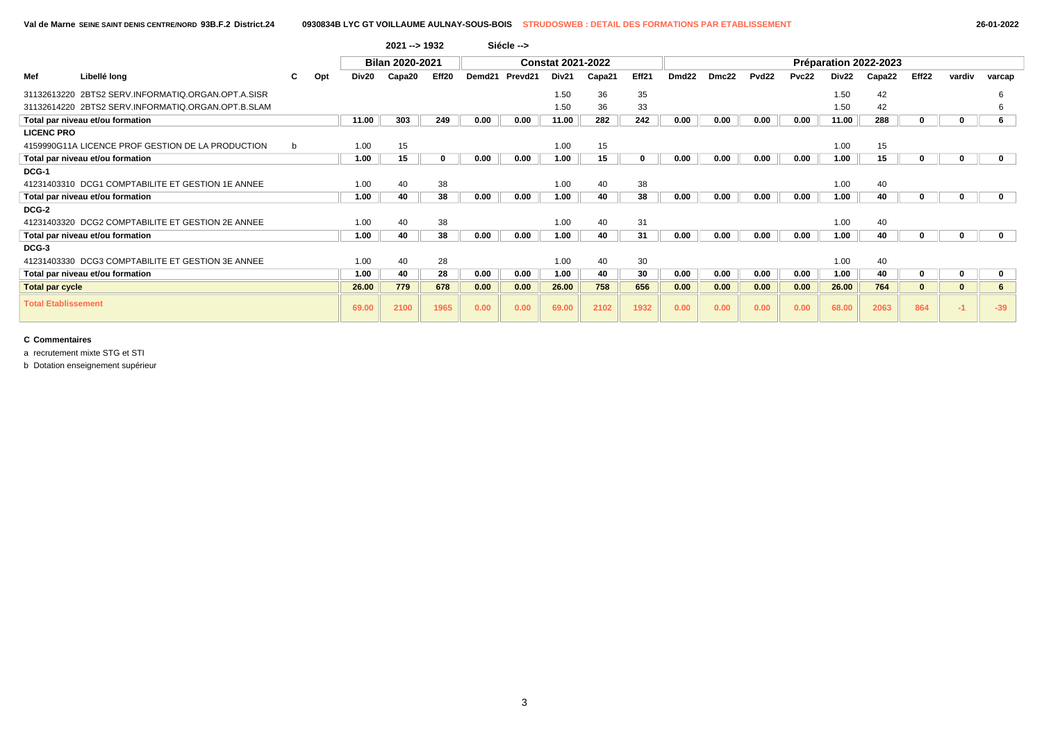|                            |                                                    |   |     |       | $2021 - 51932$         |       |        | Siécle --> |                          |        |       |                   |       |                   |       |       |                       |          |             |             |
|----------------------------|----------------------------------------------------|---|-----|-------|------------------------|-------|--------|------------|--------------------------|--------|-------|-------------------|-------|-------------------|-------|-------|-----------------------|----------|-------------|-------------|
|                            |                                                    |   |     |       | <b>Bilan 2020-2021</b> |       |        |            | <b>Constat 2021-2022</b> |        |       |                   |       |                   |       |       | Préparation 2022-2023 |          |             |             |
| Mef                        | Libellé long                                       |   | Opt | Div20 | Capa20                 | Eff20 | Demd21 | Prevd21    | Div <sub>21</sub>        | Capa21 | Eff21 | Dmd <sub>22</sub> | Dmc22 | Pvd <sub>22</sub> | Pvc22 | Div22 | Capa22                | Eff22    | vardiv      | varcap      |
|                            | 31132613220 2BTS2 SERV.INFORMATIQ.ORGAN.OPT.A.SISR |   |     |       |                        |       |        |            | 1.50                     | 36     | 35    |                   |       |                   |       | 1.50  | 42                    |          |             |             |
|                            | 31132614220 2BTS2 SERV.INFORMATIQ.ORGAN.OPT.B.SLAM |   |     |       |                        |       |        |            | 1.50                     | 36     | 33    |                   |       |                   |       | 1.50  | 42                    |          |             |             |
|                            | Total par niveau et/ou formation                   |   |     | 11.00 | 303                    | 249   | 0.00   | 0.00       | 11.00                    | 282    | 242   | 0.00              | 0.00  | 0.00              | 0.00  | 11.00 | 288                   | 0        |             | 6           |
| <b>LICENC PRO</b>          |                                                    |   |     |       |                        |       |        |            |                          |        |       |                   |       |                   |       |       |                       |          |             |             |
|                            | 4159990G11A LICENCE PROF GESTION DE LA PRODUCTION  | b |     | 1.00  | 15                     |       |        |            | 1.00                     | 15     |       |                   |       |                   |       | 1.00  | 15                    |          |             |             |
|                            | Total par niveau et/ou formation                   |   |     | 1.00  | 15                     | 0     | 0.00   | 0.00       | 1.00                     | 15     | 0     | 0.00              | 0.00  | 0.00              | 0.00  | 1.00  | 15                    | 0        | 0           | 0           |
| DCG-1                      |                                                    |   |     |       |                        |       |        |            |                          |        |       |                   |       |                   |       |       |                       |          |             |             |
|                            | 41231403310 DCG1 COMPTABILITE ET GESTION 1E ANNEE  |   |     | 1.00  | 40                     | 38    |        |            | 1.00                     | 40     | 38    |                   |       |                   |       | 1.00  | 40                    |          |             |             |
|                            | Total par niveau et/ou formation                   |   |     | 1.00  | 40                     | 38    | 0.00   | 0.00       | 1.00                     | 40     | 38    | 0.00              | 0.00  | 0.00              | 0.00  | 1.00  | 40                    | 0        | o           | 0           |
| DCG-2                      |                                                    |   |     |       |                        |       |        |            |                          |        |       |                   |       |                   |       |       |                       |          |             |             |
|                            | 41231403320 DCG2 COMPTABILITE ET GESTION 2E ANNEE  |   |     | 1.00  | 40                     | 38    |        |            | 1.00                     | 40     | 31    |                   |       |                   |       | 1.00  | 40                    |          |             |             |
|                            | Total par niveau et/ou formation                   |   |     | 1.00  | 40                     | 38    | 0.00   | 0.00       | 1.00                     | 40     | 31    | 0.00              | 0.00  | 0.00              | 0.00  | 1.00  | 40                    | 0        |             | $\mathbf 0$ |
| DCG-3                      |                                                    |   |     |       |                        |       |        |            |                          |        |       |                   |       |                   |       |       |                       |          |             |             |
|                            | 41231403330 DCG3 COMPTABILITE ET GESTION 3E ANNEE  |   |     | 1.00  | 40                     | 28    |        |            | 1.00                     | 40     | 30    |                   |       |                   |       | 1.00  | 40                    |          |             |             |
|                            | Total par niveau et/ou formation                   |   |     | 1.00  | 40                     | 28    | 0.00   | 0.00       | 1.00                     | 40     | 30    | 0.00              | 0.00  | 0.00              | 0.00  | 1.00  | 40                    | 0        | $\mathbf 0$ | $\mathbf 0$ |
| <b>Total par cycle</b>     |                                                    |   |     | 26.00 | 779                    | 678   | 0.00   | 0.00       | 26.00                    | 758    | 656   | 0.00              | 0.00  | 0.00              | 0.00  | 26.00 | 764                   | $\bf{0}$ | $\Omega$    | 6           |
| <b>Total Etablissement</b> |                                                    |   |     | 69.00 | 2100                   | 1965  | 0.00   | 0.00       | 69.00                    | 2102   | 1932  | 0.00              | 0.00  | 0.00              | 0.00  | 68.00 | 2063                  | 864      |             | $-39$       |

a recrutement mixte STG et STI

b Dotation enseignement supérieur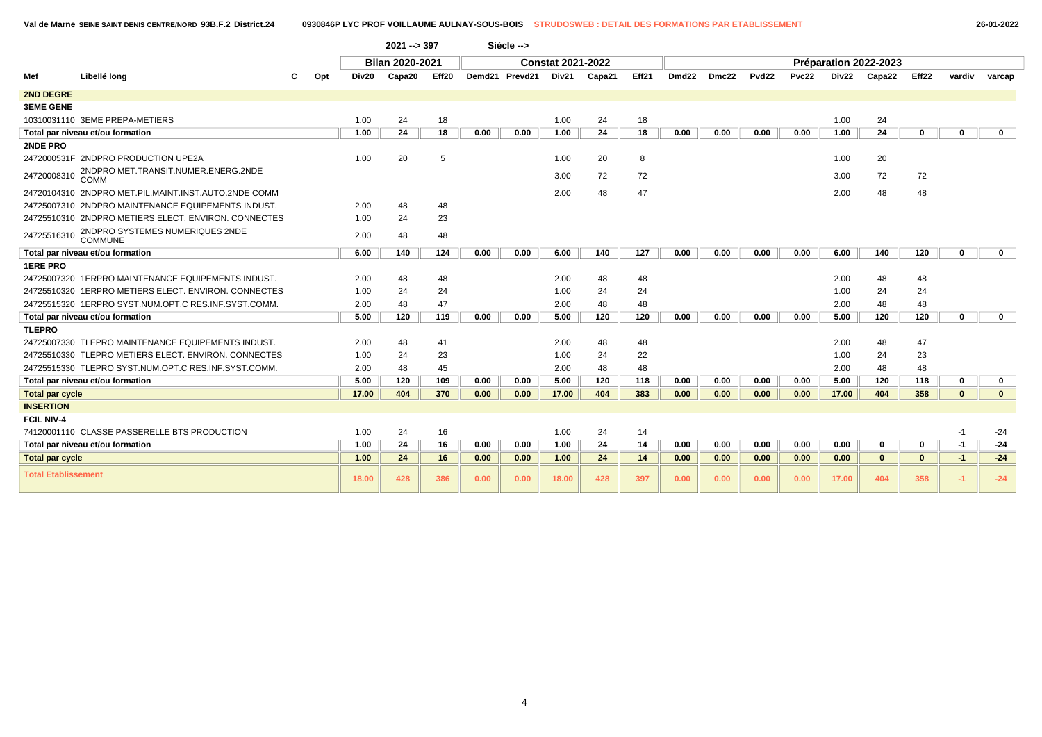|                            |                                                      |     |       | $2021 - 397$           |       |      | Siécle -->     |                          |        |       |                   |       |                   |       |       |                       |          |              |              |
|----------------------------|------------------------------------------------------|-----|-------|------------------------|-------|------|----------------|--------------------------|--------|-------|-------------------|-------|-------------------|-------|-------|-----------------------|----------|--------------|--------------|
|                            |                                                      |     |       | <b>Bilan 2020-2021</b> |       |      |                | <b>Constat 2021-2022</b> |        |       |                   |       |                   |       |       | Préparation 2022-2023 |          |              |              |
| Mef                        | Libellé long                                         | Opt | Div20 | Capa20                 | Eff20 |      | Demd21 Prevd21 | Div21                    | Capa21 | Eff21 | Dmd <sub>22</sub> | Dmc22 | Pvd <sub>22</sub> | Pvc22 | Div22 | Capa22                | Eff22    | vardiv       | varcap       |
| <b>2ND DEGRE</b>           |                                                      |     |       |                        |       |      |                |                          |        |       |                   |       |                   |       |       |                       |          |              |              |
| <b>3EME GENE</b>           |                                                      |     |       |                        |       |      |                |                          |        |       |                   |       |                   |       |       |                       |          |              |              |
|                            | 10310031110 3EME PREPA-METIERS                       |     | 1.00  | 24                     | 18    |      |                | 1.00                     | 24     | 18    |                   |       |                   |       | 1.00  | 24                    |          |              |              |
|                            | Total par niveau et/ou formation                     |     | 1.00  | 24                     | 18    | 0.00 | 0.00           | 1.00                     | 24     | 18    | 0.00              | 0.00  | 0.00              | 0.00  | 1.00  | 24                    | 0        | 0            | $\mathbf 0$  |
| 2NDE PRO                   |                                                      |     |       |                        |       |      |                |                          |        |       |                   |       |                   |       |       |                       |          |              |              |
|                            | 2472000531F 2NDPRO PRODUCTION UPE2A                  |     | 1.00  | 20                     | 5     |      |                | 1.00                     | 20     | 8     |                   |       |                   |       | 1.00  | 20                    |          |              |              |
| 24720008310                | 2NDPRO MET.TRANSIT.NUMER.ENERG.2NDE<br>COMM          |     |       |                        |       |      |                | 3.00                     | 72     | 72    |                   |       |                   |       | 3.00  | 72                    | 72       |              |              |
|                            | 24720104310 2NDPRO MET.PIL.MAINT.INST.AUTO.2NDE COMM |     |       |                        |       |      |                | 2.00                     | 48     | 47    |                   |       |                   |       | 2.00  | 48                    | 48       |              |              |
|                            | 24725007310 2NDPRO MAINTENANCE EQUIPEMENTS INDUST.   |     | 2.00  | 48                     | 48    |      |                |                          |        |       |                   |       |                   |       |       |                       |          |              |              |
|                            | 24725510310 2NDPRO METIERS ELECT. ENVIRON. CONNECTES |     | 1.00  | 24                     | 23    |      |                |                          |        |       |                   |       |                   |       |       |                       |          |              |              |
| 24725516310                | 2NDPRO SYSTEMES NUMERIQUES 2NDE<br><b>COMMUNE</b>    |     | 2.00  | 48                     | 48    |      |                |                          |        |       |                   |       |                   |       |       |                       |          |              |              |
|                            | Total par niveau et/ou formation                     |     | 6.00  | 140                    | 124   | 0.00 | 0.00           | 6.00                     | 140    | 127   | 0.00              | 0.00  | 0.00              | 0.00  | 6.00  | 140                   | 120      | $\bf{0}$     | $\mathbf 0$  |
| <b>1ERE PRO</b>            |                                                      |     |       |                        |       |      |                |                          |        |       |                   |       |                   |       |       |                       |          |              |              |
|                            | 24725007320 1ERPRO MAINTENANCE EQUIPEMENTS INDUST.   |     | 2.00  | 48                     | 48    |      |                | 2.00                     | 48     | 48    |                   |       |                   |       | 2.00  | 48                    | 48       |              |              |
|                            | 24725510320 1ERPRO METIERS ELECT. ENVIRON. CONNECTES |     | 1.00  | 24                     | 24    |      |                | 1.00                     | 24     | 24    |                   |       |                   |       | 1.00  | 24                    | 24       |              |              |
|                            | 24725515320 1ERPRO SYST.NUM.OPT.C RES.INF.SYST.COMM. |     | 2.00  | 48                     | 47    |      |                | 2.00                     | 48     | 48    |                   |       |                   |       | 2.00  | 48                    | 48       |              |              |
|                            | Total par niveau et/ou formation                     |     | 5.00  | 120                    | 119   | 0.00 | 0.00           | 5.00                     | 120    | 120   | 0.00              | 0.00  | 0.00              | 0.00  | 5.00  | 120                   | 120      | $\mathbf{0}$ | $\mathbf 0$  |
| <b>TLEPRO</b>              |                                                      |     |       |                        |       |      |                |                          |        |       |                   |       |                   |       |       |                       |          |              |              |
|                            | 24725007330 TLEPRO MAINTENANCE EQUIPEMENTS INDUST.   |     | 2.00  | 48                     | 41    |      |                | 2.00                     | 48     | 48    |                   |       |                   |       | 2.00  | 48                    | 47       |              |              |
|                            | 24725510330 TLEPRO METIERS ELECT. ENVIRON, CONNECTES |     | 1.00  | 24                     | 23    |      |                | 1.00                     | 24     | 22    |                   |       |                   |       | 1.00  | 24                    | 23       |              |              |
|                            | 24725515330 TLEPRO SYST.NUM.OPT.C RES.INF.SYST.COMM. |     | 2.00  | 48                     | 45    |      |                | 2.00                     | 48     | 48    |                   |       |                   |       | 2.00  | 48                    | 48       |              |              |
|                            | Total par niveau et/ou formation                     |     | 5.00  | 120                    | 109   | 0.00 | 0.00           | 5.00                     | 120    | 118   | 0.00              | 0.00  | 0.00              | 0.00  | 5.00  | 120                   | 118      | $\mathbf 0$  | $\mathbf{0}$ |
| <b>Total par cycle</b>     |                                                      |     | 17.00 | 404                    | 370   | 0.00 | 0.00           | 17.00                    | 404    | 383   | 0.00              | 0.00  | 0.00              | 0.00  | 17.00 | 404                   | 358      | $\mathbf{0}$ | $\mathbf{0}$ |
| <b>INSERTION</b>           |                                                      |     |       |                        |       |      |                |                          |        |       |                   |       |                   |       |       |                       |          |              |              |
| <b>FCIL NIV-4</b>          |                                                      |     |       |                        |       |      |                |                          |        |       |                   |       |                   |       |       |                       |          |              |              |
|                            | 74120001110 CLASSE PASSERELLE BTS PRODUCTION         |     | 1.00  | 24                     | 16    |      |                | 1.00                     | 24     | 14    |                   |       |                   |       |       |                       |          | $-1$         | $-24$        |
|                            | Total par niveau et/ou formation                     |     | 1.00  | 24                     | 16    | 0.00 | 0.00           | 1.00                     | 24     | 14    | 0.00              | 0.00  | 0.00              | 0.00  | 0.00  | $\Omega$              | $\bf{0}$ | $-1$         | $-24$        |
| <b>Total par cycle</b>     |                                                      |     | 1.00  | 24                     | 16    | 0.00 | 0.00           | 1.00                     | 24     | 14    | 0.00              | 0.00  | 0.00              | 0.00  | 0.00  | $\bf{0}$              | $\bf{0}$ | $-1$         | $-24$        |
| <b>Total Etablissement</b> |                                                      |     | 18.00 | 428                    | 386   | 0.00 | 0.00           | 18.00                    | 428    | 397   | 0.00              | 0.00  | 0.00              | 0.00  | 17.00 | 404                   | 358      | $-1$         | $-24$        |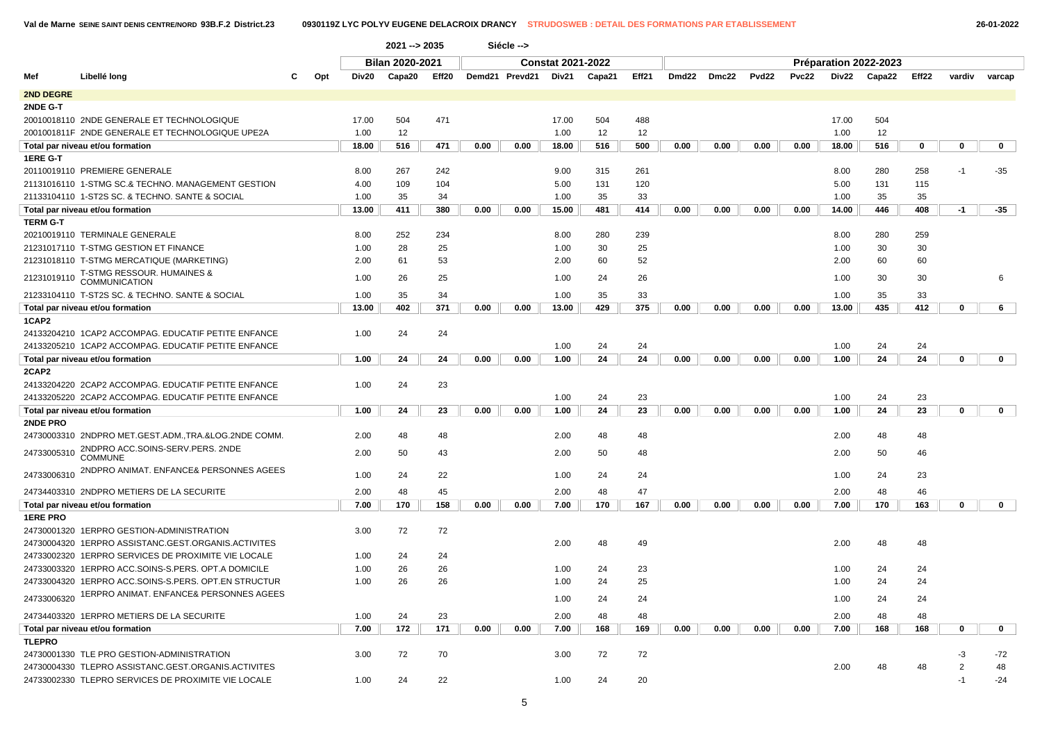|                  |                                                      |     |       | 2021 -- > 2035         |       |      | Siécle -->     |                          |        |       |       |       |                   |       |       |                       |       |        |             |
|------------------|------------------------------------------------------|-----|-------|------------------------|-------|------|----------------|--------------------------|--------|-------|-------|-------|-------------------|-------|-------|-----------------------|-------|--------|-------------|
|                  |                                                      |     |       | <b>Bilan 2020-2021</b> |       |      |                | <b>Constat 2021-2022</b> |        |       |       |       |                   |       |       | Préparation 2022-2023 |       |        |             |
| Mef              | Libellé long                                         | Opt | Div20 | Capa20                 | Eff20 |      | Demd21 Prevd21 | Div21                    | Capa21 | Eff21 | Dmd22 | Dmc22 | Pvd <sub>22</sub> | Pvc22 | Div22 | Capa22                | Eff22 | vardiv | varcap      |
| <b>2ND DEGRE</b> |                                                      |     |       |                        |       |      |                |                          |        |       |       |       |                   |       |       |                       |       |        |             |
| 2NDE G-T         |                                                      |     |       |                        |       |      |                |                          |        |       |       |       |                   |       |       |                       |       |        |             |
|                  | 20010018110 2NDE GENERALE ET TECHNOLOGIQUE           |     | 17.00 | 504                    | 471   |      |                | 17.00                    | 504    | 488   |       |       |                   |       | 17.00 | 504                   |       |        |             |
|                  | 2001001811F 2NDE GENERALE ET TECHNOLOGIQUE UPE2A     |     | 1.00  | 12                     |       |      |                | 1.00                     | 12     | 12    |       |       |                   |       | 1.00  | 12                    |       |        |             |
|                  | Total par niveau et/ou formation                     |     | 18.00 | 516                    | 471   | 0.00 | 0.00           | 18.00                    | 516    | 500   | 0.00  | 0.00  | 0.00              | 0.00  | 18.00 | 516                   | 0     | 0      | $\mathbf 0$ |
| 1ERE G-T         |                                                      |     |       |                        |       |      |                |                          |        |       |       |       |                   |       |       |                       |       |        |             |
|                  | 20110019110 PREMIERE GENERALE                        |     | 8.00  | 267                    | 242   |      |                | 9.00                     | 315    | 261   |       |       |                   |       | 8.00  | 280                   | 258   | $-1$   | $-35$       |
|                  | 21131016110 1-STMG SC.& TECHNO, MANAGEMENT GESTION   |     | 4.00  | 109                    | 104   |      |                | 5.00                     | 131    | 120   |       |       |                   |       | 5.00  | 131                   | 115   |        |             |
|                  | 21133104110 1-ST2S SC. & TECHNO. SANTE & SOCIAL      |     | 1.00  | 35                     | 34    |      |                | 1.00                     | 35     | 33    |       |       |                   |       | 1.00  | 35                    | 35    |        |             |
|                  | Total par niveau et/ou formation                     |     | 13.00 | 411                    | 380   | 0.00 | 0.00           | 15.00                    | 481    | 414   | 0.00  | 0.00  | 0.00              | 0.00  | 14.00 | 446                   | 408   | -1     | $-35$       |
| <b>TERM G-T</b>  |                                                      |     |       |                        |       |      |                |                          |        |       |       |       |                   |       |       |                       |       |        |             |
|                  | 20210019110 TERMINALE GENERALE                       |     | 8.00  | 252                    | 234   |      |                | 8.00                     | 280    | 239   |       |       |                   |       | 8.00  | 280                   | 259   |        |             |
|                  | 21231017110 T-STMG GESTION ET FINANCE                |     | 1.00  | 28                     | 25    |      |                | 1.00                     | 30     | 25    |       |       |                   |       | 1.00  | 30                    | 30    |        |             |
|                  | 21231018110 T-STMG MERCATIQUE (MARKETING)            |     | 2.00  | 61                     | 53    |      |                | 2.00                     | 60     | 52    |       |       |                   |       | 2.00  | 60                    | 60    |        |             |
| 21231019110      | T-STMG RESSOUR. HUMAINES &<br><b>COMMUNICATION</b>   |     | 1.00  | 26                     | 25    |      |                | 1.00                     | 24     | 26    |       |       |                   |       | 1.00  | 30                    | 30    |        | 6           |
|                  | 21233104110 T-ST2S SC. & TECHNO. SANTE & SOCIAL      |     | 1.00  | 35                     | 34    |      |                | 1.00                     | 35     | 33    |       |       |                   |       | 1.00  | 35                    | 33    |        |             |
|                  | Total par niveau et/ou formation                     |     | 13.00 | 402                    | 371   | 0.00 | 0.00           | 13.00                    | 429    | 375   | 0.00  | 0.00  | 0.00              | 0.00  | 13.00 | 435                   | 412   | 0      | 6           |
| 1CAP2            |                                                      |     |       |                        |       |      |                |                          |        |       |       |       |                   |       |       |                       |       |        |             |
|                  | 24133204210 1CAP2 ACCOMPAG. EDUCATIF PETITE ENFANCE  |     | 1.00  | 24                     | 24    |      |                |                          |        |       |       |       |                   |       |       |                       |       |        |             |
|                  | 24133205210 1CAP2 ACCOMPAG. EDUCATIF PETITE ENFANCE  |     |       |                        |       |      |                | 1.00                     | 24     | 24    |       |       |                   |       | 1.00  | 24                    | 24    |        |             |
|                  | Total par niveau et/ou formation                     |     | 1.00  | 24                     | 24    | 0.00 | 0.00           | 1.00                     | 24     | 24    | 0.00  | 0.00  | 0.00              | 0.00  | 1.00  | 24                    | 24    | 0      | 0           |
| 2CAP2            |                                                      |     |       |                        |       |      |                |                          |        |       |       |       |                   |       |       |                       |       |        |             |
|                  | 24133204220 2CAP2 ACCOMPAG. EDUCATIF PETITE ENFANCE  |     | 1.00  | 24                     | 23    |      |                |                          |        |       |       |       |                   |       |       |                       |       |        |             |
|                  | 24133205220 2CAP2 ACCOMPAG. EDUCATIF PETITE ENFANCE  |     |       |                        |       |      |                | 1.00                     | 24     | 23    |       |       |                   |       | 1.00  | 24                    | 23    |        |             |
|                  | Total par niveau et/ou formation                     |     | 1.00  | 24                     | 23    | 0.00 | 0.00           | 1.00                     | 24     | 23    | 0.00  | 0.00  | 0.00              | 0.00  | 1.00  | 24                    | 23    | 0      | $\mathbf 0$ |
| 2NDE PRO         |                                                      |     |       |                        |       |      |                |                          |        |       |       |       |                   |       |       |                       |       |        |             |
|                  | 24730003310 2NDPRO MET.GEST.ADM.,TRA.&LOG.2NDE COMM. |     | 2.00  | 48                     | 48    |      |                | 2.00                     | 48     | 48    |       |       |                   |       | 2.00  | 48                    | 48    |        |             |
| 24733005310      | 2NDPRO ACC.SOINS-SERV.PERS. 2NDE<br><b>COMMUNE</b>   |     | 2.00  | 50                     | 43    |      |                | 2.00                     | 50     | 48    |       |       |                   |       | 2.00  | 50                    | 46    |        |             |
|                  | 24733006310 2NDPRO ANIMAT. ENFANCE& PERSONNES AGEES  |     | 1.00  | 24                     | 22    |      |                | 1.00                     | 24     | 24    |       |       |                   |       | 1.00  | 24                    | 23    |        |             |
|                  | 24734403310 2NDPRO METIERS DE LA SECURITE            |     | 2.00  | 48                     | 45    |      |                | 2.00                     | 48     | 47    |       |       |                   |       | 2.00  | 48                    | 46    |        |             |
|                  | Total par niveau et/ou formation                     |     | 7.00  | 170                    | 158   | 0.00 | 0.00           | 7.00                     | 170    | 167   | 0.00  | 0.00  | 0.00              | 0.00  | 7.00  | 170                   | 163   | 0      | 0           |
| <b>1ERE PRO</b>  |                                                      |     |       |                        |       |      |                |                          |        |       |       |       |                   |       |       |                       |       |        |             |
|                  | 24730001320 1ERPRO GESTION-ADMINISTRATION            |     | 3.00  | 72                     | 72    |      |                |                          |        |       |       |       |                   |       |       |                       |       |        |             |
|                  | 24730004320 1ERPRO ASSISTANC.GEST.ORGANIS.ACTIVITES  |     |       |                        |       |      |                | 2.00                     | 48     | 49    |       |       |                   |       | 2.00  | 48                    | 48    |        |             |
|                  | 24733002320 1ERPRO SERVICES DE PROXIMITE VIE LOCALE  |     | 1.00  | 24                     | 24    |      |                |                          |        |       |       |       |                   |       |       |                       |       |        |             |
|                  | 24733003320 1ERPRO ACC.SOINS-S.PERS, OPT.A DOMICILE  |     | 1.00  | 26                     | 26    |      |                | 1.00                     | 24     | 23    |       |       |                   |       | 1.00  | 24                    | 24    |        |             |
|                  | 24733004320 1ERPRO ACC.SOINS-S.PERS, OPT.EN STRUCTUR |     | 1.00  | 26                     | 26    |      |                | 1.00                     | 24     | 25    |       |       |                   |       | 1.00  | 24                    | 24    |        |             |
| 24733006320      | 1ERPRO ANIMAT. ENFANCE& PERSONNES AGEES              |     |       |                        |       |      |                | 1.00                     | 24     | 24    |       |       |                   |       | 1.00  | 24                    | 24    |        |             |
|                  | 24734403320 1ERPRO METIERS DE LA SECURITE            |     | 1.00  | 24                     | 23    |      |                | 2.00                     | 48     | 48    |       |       |                   |       | 2.00  | 48                    | 48    |        |             |
|                  | Total par niveau et/ou formation                     |     | 7.00  | 172                    | 171   | 0.00 | 0.00           | 7.00                     | 168    | 169   | 0.00  | 0.00  | 0.00              | 0.00  | 7.00  | 168                   | 168   | 0      | $\mathbf 0$ |
| <b>TLEPRO</b>    |                                                      |     |       |                        |       |      |                |                          |        |       |       |       |                   |       |       |                       |       |        |             |
|                  | 24730001330 TLE PRO GESTION-ADMINISTRATION           |     | 3.00  | 72                     | 70    |      |                | 3.00                     | 72     | 72    |       |       |                   |       |       |                       |       | -3     | -72         |
|                  | 24730004330 TLEPRO ASSISTANC.GEST.ORGANIS.ACTIVITES  |     |       |                        |       |      |                |                          |        |       |       |       |                   |       | 2.00  | 48                    | 48    | 2      | 48          |
|                  | 24733002330 TLEPRO SERVICES DE PROXIMITE VIE LOCALE  |     | 1.00  | 24                     | 22    |      |                | 1.00                     | 24     | 20    |       |       |                   |       |       |                       |       | $-1$   | $-24$       |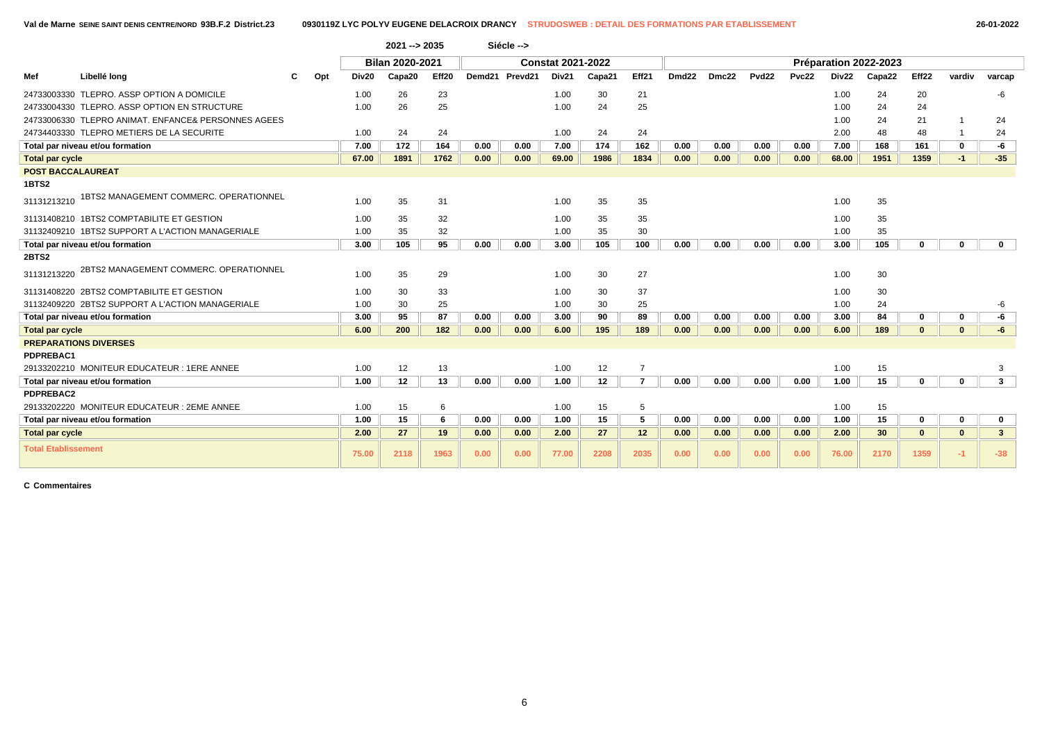|                            |                                                     |     |       | $2021 - 2035$          |       |        | Siécle --> |                          |                 |                 |       |       |                   |       |       |                       |              |              |                |
|----------------------------|-----------------------------------------------------|-----|-------|------------------------|-------|--------|------------|--------------------------|-----------------|-----------------|-------|-------|-------------------|-------|-------|-----------------------|--------------|--------------|----------------|
|                            |                                                     |     |       | <b>Bilan 2020-2021</b> |       |        |            | <b>Constat 2021-2022</b> |                 |                 |       |       |                   |       |       | Préparation 2022-2023 |              |              |                |
| Mef                        | Libellé long                                        | Opt | Div20 | Capa20                 | Eff20 | Demd21 | Prevd21    | Div21                    | Capa21          | Eff21           | Dmd22 | Dmc22 | Pvd <sub>22</sub> | Pvc22 | Div22 | Capa22                | Eff22        | vardiv       | varcap         |
|                            | 24733003330 TLEPRO. ASSP OPTION A DOMICILE          |     | 1.00  | 26                     | 23    |        |            | 1.00                     | 30              | 21              |       |       |                   |       | 1.00  | 24                    | 20           |              | -6             |
|                            | 24733004330 TLEPRO, ASSP OPTION EN STRUCTURE        |     | 1.00  | 26                     | 25    |        |            | 1.00                     | 24              | 25              |       |       |                   |       | 1.00  | 24                    | 24           |              |                |
|                            | 24733006330 TLEPRO ANIMAT. ENFANCE& PERSONNES AGEES |     |       |                        |       |        |            |                          |                 |                 |       |       |                   |       | 1.00  | 24                    | 21           |              | 24             |
|                            | 24734403330 TLEPRO METIERS DE LA SECURITE           |     | 1.00  | 24                     | 24    |        |            | 1.00                     | 24              | 24              |       |       |                   |       | 2.00  | 48                    | 48           |              | 24             |
|                            | Total par niveau et/ou formation                    |     | 7.00  | 172                    | 164   | 0.00   | 0.00       | 7.00                     | 174             | 162             | 0.00  | 0.00  | 0.00              | 0.00  | 7.00  | 168                   | 161          | $\mathbf{0}$ | -6             |
| <b>Total par cycle</b>     |                                                     |     | 67.00 | 1891                   | 1762  | 0.00   | 0.00       | 69.00                    | 1986            | 1834            | 0.00  | 0.00  | 0.00              | 0.00  | 68.00 | 1951                  | 1359         | $-1$         | $-35$          |
| <b>POST BACCALAUREAT</b>   |                                                     |     |       |                        |       |        |            |                          |                 |                 |       |       |                   |       |       |                       |              |              |                |
| <b>1BTS2</b>               |                                                     |     |       |                        |       |        |            |                          |                 |                 |       |       |                   |       |       |                       |              |              |                |
| 31131213210                | 1BTS2 MANAGEMENT COMMERC. OPERATIONNEL              |     | 1.00  | 35                     | 31    |        |            | 1.00                     | 35              | 35              |       |       |                   |       | 1.00  | 35                    |              |              |                |
|                            | 31131408210 1BTS2 COMPTABILITE ET GESTION           |     | 1.00  | 35                     | 32    |        |            | 1.00                     | 35              | 35              |       |       |                   |       | 1.00  | 35                    |              |              |                |
|                            | 31132409210 1BTS2 SUPPORT A L'ACTION MANAGERIALE    |     | 1.00  | 35                     | 32    |        |            | 1.00                     | 35              | 30              |       |       |                   |       | 1.00  | 35                    |              |              |                |
|                            | Total par niveau et/ou formation                    |     | 3.00  | 105                    | 95    | 0.00   | 0.00       | 3.00                     | 105             | 100             | 0.00  | 0.00  | 0.00              | 0.00  | 3.00  | 105                   | $\mathbf 0$  | 0            | $\mathbf{0}$   |
| <b>2BTS2</b>               |                                                     |     |       |                        |       |        |            |                          |                 |                 |       |       |                   |       |       |                       |              |              |                |
| 31131213220                | 2BTS2 MANAGEMENT COMMERC. OPERATIONNEL              |     | 1.00  | 35                     | 29    |        |            | 1.00                     | 30              | 27              |       |       |                   |       | 1.00  | 30                    |              |              |                |
|                            | 31131408220 2BTS2 COMPTABILITE ET GESTION           |     | 1.00  | 30                     | 33    |        |            | 1.00                     | 30              | 37              |       |       |                   |       | 1.00  | 30                    |              |              |                |
|                            | 31132409220 2BTS2 SUPPORT A L'ACTION MANAGERIALE    |     | 1.00  | 30                     | 25    |        |            | 1.00                     | 30              | 25              |       |       |                   |       | 1.00  | 24                    |              |              | -6             |
|                            | Total par niveau et/ou formation                    |     | 3.00  | 95                     | 87    | 0.00   | 0.00       | 3.00                     | 90              | 89              | 0.00  | 0.00  | 0.00              | 0.00  | 3.00  | 84                    | 0            | 0            | -6             |
| <b>Total par cycle</b>     |                                                     |     | 6.00  | 200                    | 182   | 0.00   | 0.00       | 6.00                     | 195             | 189             | 0.00  | 0.00  | 0.00              | 0.00  | 6.00  | 189                   | $\mathbf{0}$ | $\mathbf{0}$ | -6             |
|                            | <b>PREPARATIONS DIVERSES</b>                        |     |       |                        |       |        |            |                          |                 |                 |       |       |                   |       |       |                       |              |              |                |
| PDPREBAC1                  |                                                     |     |       |                        |       |        |            |                          |                 |                 |       |       |                   |       |       |                       |              |              |                |
|                            | 29133202210 MONITEUR EDUCATEUR : 1ERE ANNEE         |     | 1.00  | 12                     | 13    |        |            | 1.00                     | 12              | $\overline{7}$  |       |       |                   |       | 1.00  | 15                    |              |              | 3              |
|                            | Total par niveau et/ou formation                    |     | 1.00  | 12                     | 13    | 0.00   | 0.00       | 1.00                     | 12 <sub>2</sub> | $\overline{7}$  | 0.00  | 0.00  | 0.00              | 0.00  | 1.00  | 15                    | 0            | $\mathbf{0}$ | 3 <sup>1</sup> |
| PDPREBAC2                  |                                                     |     |       |                        |       |        |            |                          |                 |                 |       |       |                   |       |       |                       |              |              |                |
|                            | 29133202220 MONITEUR EDUCATEUR : 2EME ANNEE         |     | 1.00  | 15                     | 6     |        |            | 1.00                     | 15              | 5               |       |       |                   |       | 1.00  | 15                    |              |              |                |
|                            | Total par niveau et/ou formation                    |     | 1.00  | 15                     | 6     | 0.00   | 0.00       | 1.00                     | 15              | 5               | 0.00  | 0.00  | 0.00              | 0.00  | 1.00  | 15                    | 0            | 0            | $\mathbf 0$    |
| <b>Total par cycle</b>     |                                                     |     | 2.00  | 27                     | 19    | 0.00   | 0.00       | 2.00                     | 27              | 12 <sub>2</sub> | 0.00  | 0.00  | 0.00              | 0.00  | 2.00  | 30                    | $\mathbf{0}$ | $\bf{0}$     | 3 <sup>1</sup> |
| <b>Total Etablissement</b> |                                                     |     | 75.00 | 2118                   | 1963  | 0.00   | 0.00       | 77.00                    | 2208            | 2035            | 0.00  | 0.00  | 0.00              | 0.00  | 76.00 | 2170                  | 1359         | $-1$         | $-38$          |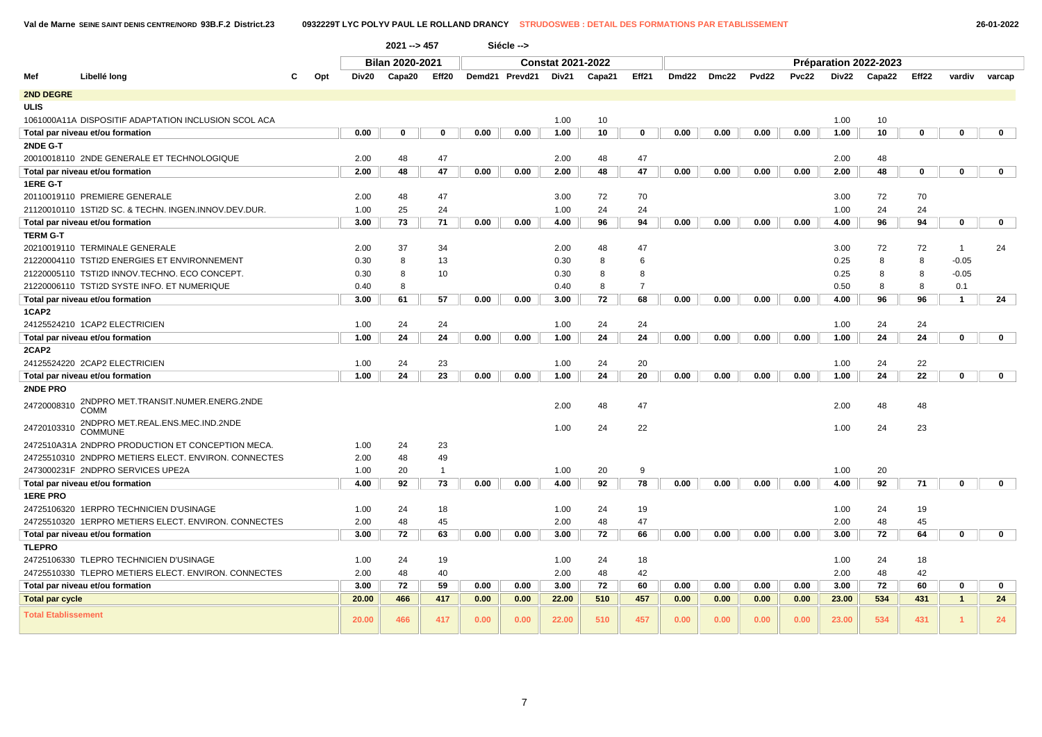|                            |                                                      |     |       | 2021 -- > 457   |              |      | Siécle -->     |                          |        |                |       |       |                   |       |              |                       |       |                |             |
|----------------------------|------------------------------------------------------|-----|-------|-----------------|--------------|------|----------------|--------------------------|--------|----------------|-------|-------|-------------------|-------|--------------|-----------------------|-------|----------------|-------------|
|                            |                                                      |     |       | Bilan 2020-2021 |              |      |                | <b>Constat 2021-2022</b> |        |                |       |       |                   |       |              | Préparation 2022-2023 |       |                |             |
| Mef                        | Libellé long                                         | Opt | Div20 | Capa20          | Eff20        |      | Demd21 Prevd21 | Div21                    | Capa21 | Eff21          | Dmd22 | Dmc22 | Pvd <sub>22</sub> | Pvc22 | <b>Div22</b> | Capa22                | Eff22 | vardiv         | varcap      |
| 2ND DEGRE                  |                                                      |     |       |                 |              |      |                |                          |        |                |       |       |                   |       |              |                       |       |                |             |
| <b>ULIS</b>                |                                                      |     |       |                 |              |      |                |                          |        |                |       |       |                   |       |              |                       |       |                |             |
|                            | 1061000A11A DISPOSITIF ADAPTATION INCLUSION SCOL ACA |     |       |                 |              |      |                | 1.00                     | 10     |                |       |       |                   |       | 1.00         | 10                    |       |                |             |
|                            | Total par niveau et/ou formation                     |     | 0.00  | 0               | $\Omega$     | 0.00 | 0.00           | 1.00                     | 10     | 0              | 0.00  | 0.00  | 0.00              | 0.00  | 1.00         | 10                    | 0     | $\Omega$       | $\mathbf 0$ |
| 2NDE G-T                   |                                                      |     |       |                 |              |      |                |                          |        |                |       |       |                   |       |              |                       |       |                |             |
|                            | 20010018110 2NDE GENERALE ET TECHNOLOGIQUE           |     | 2.00  | 48              | 47           |      |                | 2.00                     | 48     | 47             |       |       |                   |       | 2.00         | 48                    |       |                |             |
|                            | Total par niveau et/ou formation                     |     | 2.00  | 48              | 47           | 0.00 | 0.00           | 2.00                     | 48     | 47             | 0.00  | 0.00  | 0.00              | 0.00  | 2.00         | 48                    | 0     | 0              | $\mathbf 0$ |
| 1ERE G-T                   |                                                      |     |       |                 |              |      |                |                          |        |                |       |       |                   |       |              |                       |       |                |             |
|                            | 20110019110 PREMIERE GENERALE                        |     | 2.00  | 48              | 47           |      |                | 3.00                     | 72     | 70             |       |       |                   |       | 3.00         | 72                    | 70    |                |             |
|                            | 21120010110 1STI2D SC. & TECHN. INGEN.INNOV.DEV.DUR  |     | 1.00  | 25              | 24           |      |                | 1.00                     | 24     | 24             |       |       |                   |       | 1.00         | 24                    | 24    |                |             |
|                            | Total par niveau et/ou formation                     |     | 3.00  | 73              | 71           | 0.00 | 0.00           | 4.00                     | 96     | 94             | 0.00  | 0.00  | 0.00              | 0.00  | 4.00         | 96                    | 94    | 0              | $\mathbf 0$ |
| <b>TERM G-T</b>            |                                                      |     |       |                 |              |      |                |                          |        |                |       |       |                   |       |              |                       |       |                |             |
|                            | 20210019110 TERMINALE GENERALE                       |     | 2.00  | 37              | 34           |      |                | 2.00                     | 48     | 47             |       |       |                   |       | 3.00         | 72                    | 72    | $\overline{1}$ | 24          |
|                            | 21220004110 TSTI2D ENERGIES ET ENVIRONNEMENT         |     | 0.30  | 8               | 13           |      |                | 0.30                     | 8      | 6              |       |       |                   |       | 0.25         | 8                     | 8     | $-0.05$        |             |
|                            | 21220005110 TSTI2D INNOV.TECHNO. ECO CONCEPT.        |     | 0.30  | 8               | 10           |      |                | 0.30                     | 8      | 8              |       |       |                   |       | 0.25         | 8                     | 8     | $-0.05$        |             |
|                            | 21220006110 TSTI2D SYSTE INFO. ET NUMERIQUE          |     | 0.40  | 8               |              |      |                | 0.40                     | 8      | $\overline{7}$ |       |       |                   |       | 0.50         | 8                     | 8     | 0.1            |             |
|                            | Total par niveau et/ou formation                     |     | 3.00  | 61              | 57           | 0.00 | 0.00           | 3.00                     | 72     | 68             | 0.00  | 0.00  | 0.00              | 0.00  | 4.00         | 96                    | 96    | $\overline{1}$ | 24          |
| 1CAP2                      |                                                      |     |       |                 |              |      |                |                          |        |                |       |       |                   |       |              |                       |       |                |             |
|                            | 24125524210 1CAP2 ELECTRICIEN                        |     | 1.00  | 24              | 24           |      |                | 1.00                     | 24     | 24             |       |       |                   |       | 1.00         | 24                    | 24    |                |             |
|                            | Total par niveau et/ou formation                     |     | 1.00  | 24              | 24           | 0.00 | 0.00           | 1.00                     | 24     | 24             | 0.00  | 0.00  | 0.00              | 0.00  | 1.00         | 24                    | 24    | 0              | $\mathbf 0$ |
| 2CAP2                      |                                                      |     |       |                 |              |      |                |                          |        |                |       |       |                   |       |              |                       |       |                |             |
|                            | 24125524220 2CAP2 ELECTRICIEN                        |     | 1.00  | 24              | 23           |      |                | 1.00                     | 24     | 20             |       |       |                   |       | 1.00         | 24                    | 22    |                |             |
|                            | Total par niveau et/ou formation                     |     | 1.00  | 24              | 23           | 0.00 | 0.00           | 1.00                     | 24     | 20             | 0.00  | 0.00  | 0.00              | 0.00  | 1.00         | 24                    | 22    | 0              | $\mathbf 0$ |
| 2NDE PRO                   |                                                      |     |       |                 |              |      |                |                          |        |                |       |       |                   |       |              |                       |       |                |             |
| 24720008310                | 2NDPRO MET.TRANSIT.NUMER.ENERG.2NDE<br>COMM          |     |       |                 |              |      |                | 2.00                     | 48     | 47             |       |       |                   |       | 2.00         | 48                    | 48    |                |             |
| 24720103310                | 2NDPRO MET.REAL.ENS.MEC.IND.2NDE<br><b>COMMUNE</b>   |     |       |                 |              |      |                | 1.00                     | 24     | 22             |       |       |                   |       | 1.00         | 24                    | 23    |                |             |
|                            | 2472510A31A 2NDPRO PRODUCTION ET CONCEPTION MECA.    |     | 1.00  | 24              | 23           |      |                |                          |        |                |       |       |                   |       |              |                       |       |                |             |
|                            | 24725510310 2NDPRO METIERS ELECT. ENVIRON. CONNECTES |     | 2.00  | 48              | 49           |      |                |                          |        |                |       |       |                   |       |              |                       |       |                |             |
|                            | 2473000231F 2NDPRO SERVICES UPE2A                    |     | 1.00  | 20              | $\mathbf{1}$ |      |                | 1.00                     | 20     | 9              |       |       |                   |       | 1.00         | 20                    |       |                |             |
|                            | Total par niveau et/ou formation                     |     | 4.00  | 92              | 73           | 0.00 | 0.00           | 4.00                     | 92     | 78             | 0.00  | 0.00  | 0.00              | 0.00  | 4.00         | 92                    | 71    | 0              | $\mathbf 0$ |
| <b>1ERE PRO</b>            |                                                      |     |       |                 |              |      |                |                          |        |                |       |       |                   |       |              |                       |       |                |             |
|                            | 24725106320 1ERPRO TECHNICIEN D'USINAGE              |     | 1.00  | 24              | 18           |      |                | 1.00                     | 24     | 19             |       |       |                   |       | 1.00         | 24                    | 19    |                |             |
|                            | 24725510320 1ERPRO METIERS ELECT. ENVIRON, CONNECTES |     | 2.00  | 48              | 45           |      |                | 2.00                     | 48     | 47             |       |       |                   |       | 2.00         | 48                    | 45    |                |             |
|                            | Total par niveau et/ou formation                     |     | 3.00  | 72              | 63           | 0.00 | 0.00           | 3.00                     | 72     | 66             | 0.00  | 0.00  | 0.00              | 0.00  | 3.00         | 72                    | 64    | 0              | $\mathbf 0$ |
| <b>TLEPRO</b>              |                                                      |     |       |                 |              |      |                |                          |        |                |       |       |                   |       |              |                       |       |                |             |
|                            | 24725106330 TLEPRO TECHNICIEN D'USINAGE              |     | 1.00  | 24              | 19           |      |                | 1.00                     | 24     | 18             |       |       |                   |       | 1.00         | 24                    | 18    |                |             |
|                            | 24725510330 TLEPRO METIERS ELECT. ENVIRON. CONNECTES |     | 2.00  | 48              | 40           |      |                | 2.00                     | 48     | 42             |       |       |                   |       | 2.00         | 48                    | 42    |                |             |
|                            | Total par niveau et/ou formation                     |     | 3.00  | 72              | 59           | 0.00 | 0.00           | 3.00                     | 72     | 60             | 0.00  | 0.00  | 0.00              | 0.00  | 3.00         | 72                    | 60    | 0              | $\mathbf 0$ |
| <b>Total par cycle</b>     |                                                      |     | 20.00 | 466             | 417          | 0.00 | 0.00           | 22.00                    | 510    | 457            | 0.00  | 0.00  | 0.00              | 0.00  | 23.00        | 534                   | 431   | $\mathbf{1}$   | 24          |
| <b>Total Etablissement</b> |                                                      |     | 20.00 | 466             | 417          | 0.00 | 0.00           | 22.00                    | 510    | 457            | 0.00  | 0.00  | 0.00              | 0.00  | 23.00        | 534                   | 431   | 1              | 24          |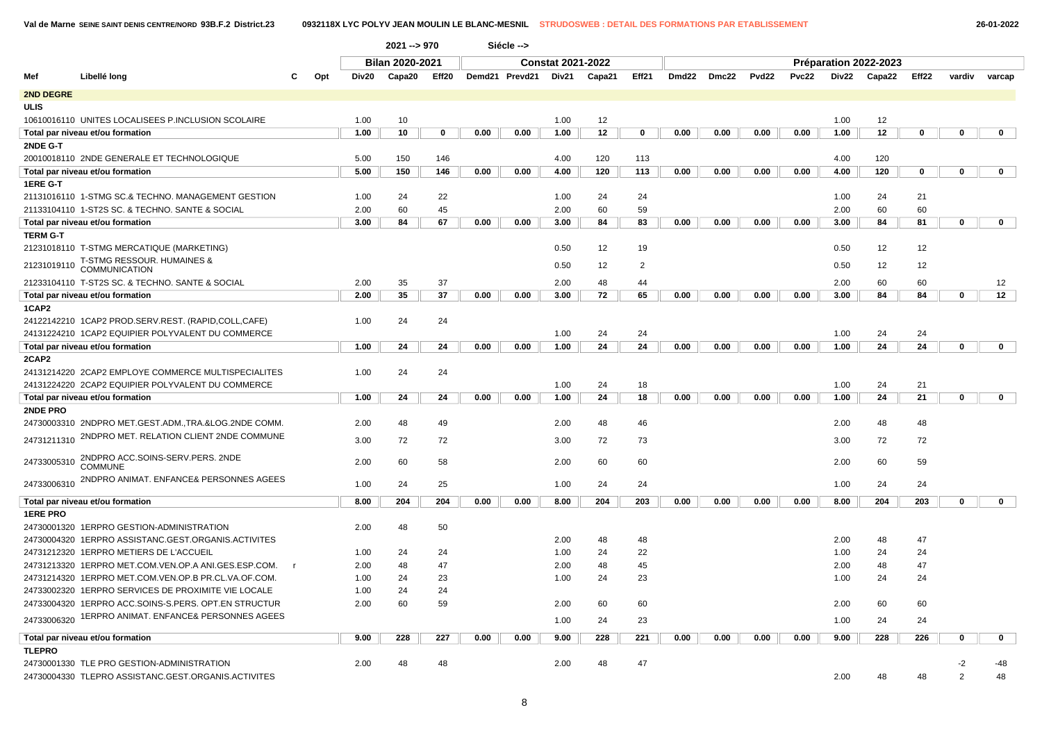**2021 --> 970 Siécle -->**

|                 |                                                      |              |       | <b>Bilan 2020-2021</b> |             |      |                | <b>Constat 2021-2022</b> |        |                |                   |       |                   |              |       | Préparation 2022-2023 |          |                |             |  |
|-----------------|------------------------------------------------------|--------------|-------|------------------------|-------------|------|----------------|--------------------------|--------|----------------|-------------------|-------|-------------------|--------------|-------|-----------------------|----------|----------------|-------------|--|
| Mef             | Libellé long                                         | Opt          | Div20 | Capa20                 | Eff20       |      | Demd21 Prevd21 | Div21                    | Capa21 | Eff21          | Dmd <sub>22</sub> | Dmc22 | Pvd <sub>22</sub> | <b>Pvc22</b> | Div22 | Capa22                | Eff22    | vardiv         | varcap      |  |
| 2ND DEGRE       |                                                      |              |       |                        |             |      |                |                          |        |                |                   |       |                   |              |       |                       |          |                |             |  |
| <b>ULIS</b>     |                                                      |              |       |                        |             |      |                |                          |        |                |                   |       |                   |              |       |                       |          |                |             |  |
|                 | 10610016110 UNITES LOCALISEES P.INCLUSION SCOLAIRE   |              | 1.00  | 10                     |             |      |                | 1.00                     | 12     |                |                   |       |                   |              | 1.00  | 12                    |          |                |             |  |
|                 | Total par niveau et/ou formation                     |              | 1.00  | 10                     | $\mathbf 0$ | 0.00 | 0.00           | 1.00                     | 12     | $\bf{0}$       | 0.00              | 0.00  | 0.00              | 0.00         | 1.00  | 12                    | $\bf{0}$ | 0              | $\mathbf 0$ |  |
| 2NDE G-T        |                                                      |              |       |                        |             |      |                |                          |        |                |                   |       |                   |              |       |                       |          |                |             |  |
|                 | 20010018110 2NDE GENERALE ET TECHNOLOGIQUE           |              | 5.00  | 150                    | 146         |      |                | 4.00                     | 120    | 113            |                   |       |                   |              | 4.00  | 120                   |          |                |             |  |
|                 | Total par niveau et/ou formation                     |              | 5.00  | 150                    | 146         | 0.00 | 0.00           | 4.00                     | 120    | 113            | 0.00              | 0.00  | 0.00              | 0.00         | 4.00  | 120                   | 0        | 0              | $\mathbf 0$ |  |
| 1ERE G-T        |                                                      |              |       |                        |             |      |                |                          |        |                |                   |       |                   |              |       |                       |          |                |             |  |
|                 | 21131016110 1-STMG SC.& TECHNO. MANAGEMENT GESTION   |              | 1.00  | 24                     | 22          |      |                | 1.00                     | 24     | 24             |                   |       |                   |              | 1.00  | 24                    | 21       |                |             |  |
|                 | 21133104110 1-ST2S SC. & TECHNO. SANTE & SOCIAL      |              | 2.00  | 60                     | 45          |      |                | 2.00                     | 60     | 59             |                   |       |                   |              | 2.00  | 60                    | 60       |                |             |  |
|                 | Total par niveau et/ou formation                     |              | 3.00  | 84                     | 67          | 0.00 | 0.00           | 3.00                     | 84     | 83             | 0.00              | 0.00  | 0.00              | 0.00         | 3.00  | 84                    | 81       | 0              | $\mathbf 0$ |  |
| <b>TERM G-T</b> |                                                      |              |       |                        |             |      |                |                          |        |                |                   |       |                   |              |       |                       |          |                |             |  |
|                 | 21231018110 T-STMG MERCATIQUE (MARKETING)            |              |       |                        |             |      |                | 0.50                     | 12     | 19             |                   |       |                   |              | 0.50  | 12                    | 12       |                |             |  |
| 21231019110     | T-STMG RESSOUR. HUMAINES &<br><b>COMMUNICATION</b>   |              |       |                        |             |      |                | 0.50                     | 12     | $\overline{2}$ |                   |       |                   |              | 0.50  | 12                    | 12       |                |             |  |
|                 | 21233104110 T-ST2S SC. & TECHNO. SANTE & SOCIAL      |              | 2.00  | 35                     | 37          |      |                | 2.00                     | 48     | 44             |                   |       |                   |              | 2.00  | 60                    | 60       |                | 12          |  |
|                 | Total par niveau et/ou formation                     |              | 2.00  | 35                     | 37          | 0.00 | 0.00           | 3.00                     | 72     | 65             | 0.00              | 0.00  | 0.00              | 0.00         | 3.00  | 84                    | 84       | 0              | 12          |  |
| 1CAP2           |                                                      |              |       |                        |             |      |                |                          |        |                |                   |       |                   |              |       |                       |          |                |             |  |
|                 | 24122142210 1CAP2 PROD.SERV.REST. (RAPID,COLL,CAFE)  |              | 1.00  | 24                     | 24          |      |                |                          |        |                |                   |       |                   |              |       |                       |          |                |             |  |
|                 | 24131224210 1CAP2 EQUIPIER POLYVALENT DU COMMERCE    |              |       |                        |             |      |                | 1.00                     | 24     | 24             |                   |       |                   |              | 1.00  | 24                    | 24       |                |             |  |
|                 | Total par niveau et/ou formation                     |              | 1.00  | 24                     | 24          | 0.00 | 0.00           | 1.00                     | 24     | 24             | 0.00              | 0.00  | 0.00              | 0.00         | 1.00  | 24                    | 24       | 0              | $\mathbf 0$ |  |
| 2CAP2           |                                                      |              |       |                        |             |      |                |                          |        |                |                   |       |                   |              |       |                       |          |                |             |  |
|                 | 24131214220 2CAP2 EMPLOYE COMMERCE MULTISPECIALITES  |              | 1.00  | 24                     | 24          |      |                |                          |        |                |                   |       |                   |              |       |                       |          |                |             |  |
|                 | 24131224220 2CAP2 EQUIPIER POLYVALENT DU COMMERCE    |              |       |                        |             |      |                | 1.00                     | 24     | 18             |                   |       |                   |              | 1.00  | 24                    | 21       |                |             |  |
|                 | Total par niveau et/ou formation                     |              | 1.00  | 24                     | 24          | 0.00 | 0.00           | 1.00                     | 24     | 18             | 0.00              | 0.00  | 0.00              | 0.00         | 1.00  | 24                    | 21       | 0              | $\mathbf 0$ |  |
| 2NDE PRO        |                                                      |              |       |                        |             |      |                |                          |        |                |                   |       |                   |              |       |                       |          |                |             |  |
|                 | 24730003310 2NDPRO MET.GEST.ADM.,TRA.&LOG.2NDE COMM. |              | 2.00  | 48                     | 49          |      |                | 2.00                     | 48     | 46             |                   |       |                   |              | 2.00  | 48                    | 48       |                |             |  |
| 24731211310     | 2NDPRO MET. RELATION CLIENT 2NDE COMMUNE             |              | 3.00  | 72                     | 72          |      |                | 3.00                     | 72     | 73             |                   |       |                   |              | 3.00  | 72                    | 72       |                |             |  |
| 24733005310     | 2NDPRO ACC.SOINS-SERV.PERS. 2NDE                     |              | 2.00  | 60                     | 58          |      |                | 2.00                     | 60     | 60             |                   |       |                   |              | 2.00  | 60                    | 59       |                |             |  |
|                 | <b>COMMUNE</b>                                       |              |       |                        |             |      |                |                          |        |                |                   |       |                   |              |       |                       |          |                |             |  |
| 24733006310     | 2NDPRO ANIMAT. ENFANCE& PERSONNES AGEES              |              | 1.00  | 24                     | 25          |      |                | 1.00                     | 24     | 24             |                   |       |                   |              | 1.00  | 24                    | 24       |                |             |  |
|                 | Total par niveau et/ou formation                     |              | 8.00  | 204                    | 204         | 0.00 | 0.00           | 8.00                     | 204    | 203            | 0.00              | 0.00  | 0.00              | 0.00         | 8.00  | 204                   | 203      | 0              | $\mathbf 0$ |  |
| <b>1ERE PRO</b> |                                                      |              |       |                        |             |      |                |                          |        |                |                   |       |                   |              |       |                       |          |                |             |  |
|                 | 24730001320 1ERPRO GESTION-ADMINISTRATION            |              | 2.00  | 48                     | 50          |      |                |                          |        |                |                   |       |                   |              |       |                       |          |                |             |  |
|                 | 24730004320 1ERPRO ASSISTANC.GEST.ORGANIS.ACTIVITES  |              |       |                        |             |      |                | 2.00                     | 48     | 48             |                   |       |                   |              | 2.00  | 48                    | 47       |                |             |  |
|                 | 24731212320 1ERPRO METIERS DE L'ACCUEIL              |              | 1.00  | 24                     | 24          |      |                | 1.00                     | 24     | 22             |                   |       |                   |              | 1.00  | 24                    | 24       |                |             |  |
|                 | 24731213320 1ERPRO MET.COM.VEN.OP.A ANI.GES.ESP.COM. | $\mathsf{r}$ | 2.00  | 48                     | 47          |      |                | 2.00                     | 48     | 45             |                   |       |                   |              | 2.00  | 48                    | 47       |                |             |  |
|                 | 24731214320 1ERPRO MET.COM.VEN.OP.B PR.CL.VA.OF.COM. |              | 1.00  | 24                     | 23          |      |                | 1.00                     | 24     | 23             |                   |       |                   |              | 1.00  | 24                    | 24       |                |             |  |
|                 | 24733002320 1ERPRO SERVICES DE PROXIMITE VIE LOCALE  |              | 1.00  | 24                     | 24          |      |                |                          |        |                |                   |       |                   |              |       |                       |          |                |             |  |
|                 | 24733004320 1ERPRO ACC.SOINS-S.PERS. OPT.EN STRUCTUR |              | 2.00  | 60                     | 59          |      |                | 2.00                     | 60     | 60             |                   |       |                   |              | 2.00  | 60                    | 60       |                |             |  |
| 24733006320     | 1ERPRO ANIMAT. ENFANCE& PERSONNES AGEES              |              |       |                        |             |      |                | 1.00                     | 24     | 23             |                   |       |                   |              | 1.00  | 24                    | 24       |                |             |  |
|                 | Total par niveau et/ou formation                     |              | 9.00  | 228                    | 227         | 0.00 | 0.00           | 9.00                     | 228    | 221            | 0.00              | 0.00  | 0.00              | 0.00         | 9.00  | 228                   | 226      | 0              | $\mathbf 0$ |  |
| <b>TLEPRO</b>   |                                                      |              |       |                        |             |      |                |                          |        |                |                   |       |                   |              |       |                       |          |                |             |  |
|                 | 24730001330 TLE PRO GESTION-ADMINISTRATION           |              | 2.00  | 48                     | 48          |      |                | 2.00                     | 48     | 47             |                   |       |                   |              |       |                       |          | -2             | -48         |  |
|                 | 24730004330 TLEPRO ASSISTANC.GEST.ORGANIS.ACTIVITES  |              |       |                        |             |      |                |                          |        |                |                   |       |                   |              | 2.00  | 48                    | 48       | $\overline{2}$ | 48          |  |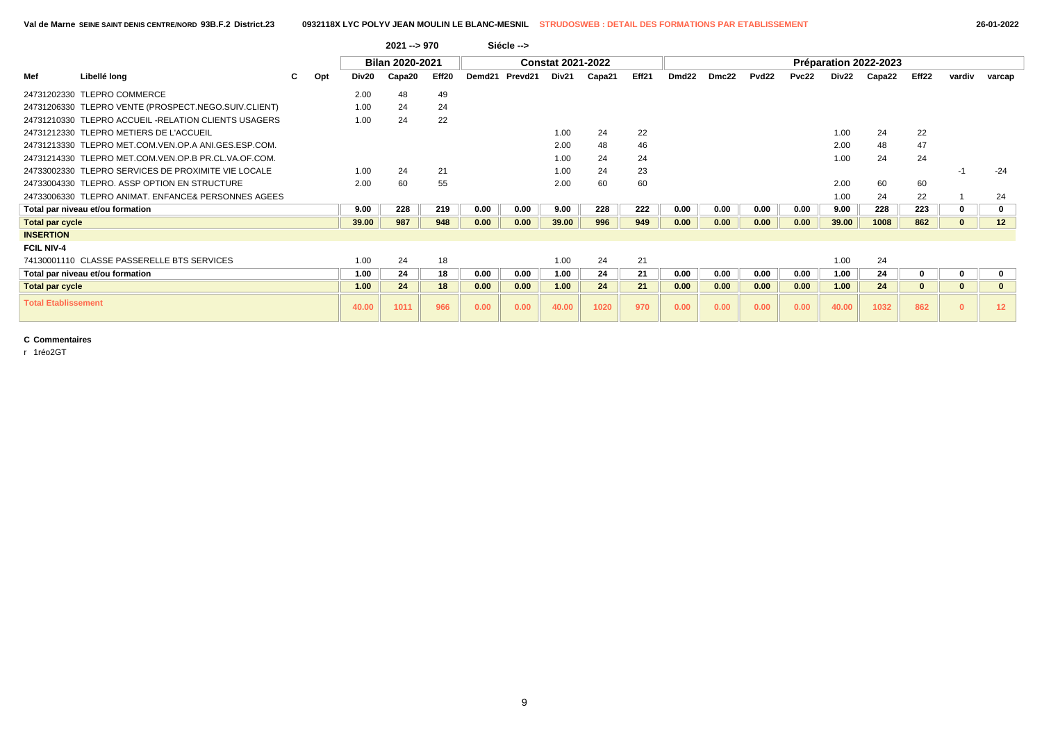|                            |                                                      |   |     |       | 2021 --> 970           |       |        | Siécle --> |                          |        |       |                   |       |       |       |       |                       |       |        |                 |
|----------------------------|------------------------------------------------------|---|-----|-------|------------------------|-------|--------|------------|--------------------------|--------|-------|-------------------|-------|-------|-------|-------|-----------------------|-------|--------|-----------------|
|                            |                                                      |   |     |       | <b>Bilan 2020-2021</b> |       |        |            | <b>Constat 2021-2022</b> |        |       |                   |       |       |       |       | Préparation 2022-2023 |       |        |                 |
| Mef                        | Libellé long                                         | C | Opt | Div20 | Capa20                 | Eff20 | Demd21 | Prevd21    | Div21                    | Capa21 | Eff21 | Dmd <sub>22</sub> | Dmc22 | Pvd22 | Pvc22 | Div22 | Capa22                | Eff22 | vardiv | varcap          |
|                            | 24731202330 TLEPRO COMMERCE                          |   |     | 2.00  | 48                     | 49    |        |            |                          |        |       |                   |       |       |       |       |                       |       |        |                 |
|                            | 24731206330 TLEPRO VENTE (PROSPECT.NEGO.SUIV.CLIENT) |   |     | 1.00  | 24                     | 24    |        |            |                          |        |       |                   |       |       |       |       |                       |       |        |                 |
|                            | 24731210330 TLEPRO ACCUEIL -RELATION CLIENTS USAGERS |   |     | 1.00  | 24                     | 22    |        |            |                          |        |       |                   |       |       |       |       |                       |       |        |                 |
|                            | 24731212330 TLEPRO METIERS DE L'ACCUEIL              |   |     |       |                        |       |        |            | 1.00                     | 24     | 22    |                   |       |       |       | 1.00  | 24                    | 22    |        |                 |
|                            | 24731213330 TLEPRO MET.COM.VEN.OP.A ANI.GES.ESP.COM. |   |     |       |                        |       |        |            | 2.00                     | 48     | 46    |                   |       |       |       | 2.00  | 48                    | 47    |        |                 |
|                            | 24731214330 TLEPRO MET.COM.VEN.OP.B PR.CL.VA.OF.COM. |   |     |       |                        |       |        |            | 1.00                     | 24     | 24    |                   |       |       |       | 1.00  | 24                    | 24    |        |                 |
|                            | 24733002330 TLEPRO SERVICES DE PROXIMITE VIE LOCALE  |   |     | 1.00  | 24                     | 21    |        |            | 1.00                     | 24     | 23    |                   |       |       |       |       |                       |       | -1     | $-24$           |
|                            | 24733004330 TLEPRO, ASSP OPTION EN STRUCTURE         |   |     | 2.00  | 60                     | 55    |        |            | 2.00                     | 60     | 60    |                   |       |       |       | 2.00  | 60                    | 60    |        |                 |
|                            | 24733006330 TLEPRO ANIMAT, ENFANCE& PERSONNES AGEES  |   |     |       |                        |       |        |            |                          |        |       |                   |       |       |       | 1.00  | 24                    | 22    |        | 24              |
|                            | Total par niveau et/ou formation                     |   |     | 9.00  | 228                    | 219   | 0.00   | 0.00       | 9.00                     | 228    | 222   | 0.00              | 0.00  | 0.00  | 0.00  | 9.00  | 228                   | 223   |        |                 |
| <b>Total par cycle</b>     |                                                      |   |     | 39.00 | 987                    | 948   | 0.00   | 0.00       | 39.00                    | 996    | 949   | 0.00              | 0.00  | 0.00  | 0.00  | 39.00 | 1008                  | 862   |        | 12 <sup>2</sup> |
| <b>INSERTION</b>           |                                                      |   |     |       |                        |       |        |            |                          |        |       |                   |       |       |       |       |                       |       |        |                 |
| <b>FCIL NIV-4</b>          |                                                      |   |     |       |                        |       |        |            |                          |        |       |                   |       |       |       |       |                       |       |        |                 |
|                            | 74130001110 CLASSE PASSERELLE BTS SERVICES           |   |     | 1.00  | 24                     | 18    |        |            | 1.00                     | 24     | 21    |                   |       |       |       | 1.00  | 24                    |       |        |                 |
|                            | Total par niveau et/ou formation                     |   |     | 1.00  | 24                     | 18    | 0.00   | 0.00       | 1.00                     | 24     | 21    | 0.00              | 0.00  | 0.00  | 0.00  | 1.00  | 24                    |       |        |                 |
| <b>Total par cycle</b>     |                                                      |   |     | 1.00  | 24                     | 18    | 0.00   | 0.00       | 1.00                     | 24     | 21    | 0.00              | 0.00  | 0.00  | 0.00  | 1.00  | 24                    |       |        |                 |
| <b>Total Etablissement</b> |                                                      |   |     | 40.00 | 1011                   | 966   | 0.00   | 0.00       | 40.00                    | 1020   | 970   | 0.00              | 0.00  | 0.00  | 0.00  | 40.00 | 1032                  | 862   |        | 12 <sub>2</sub> |

r 1réo2GT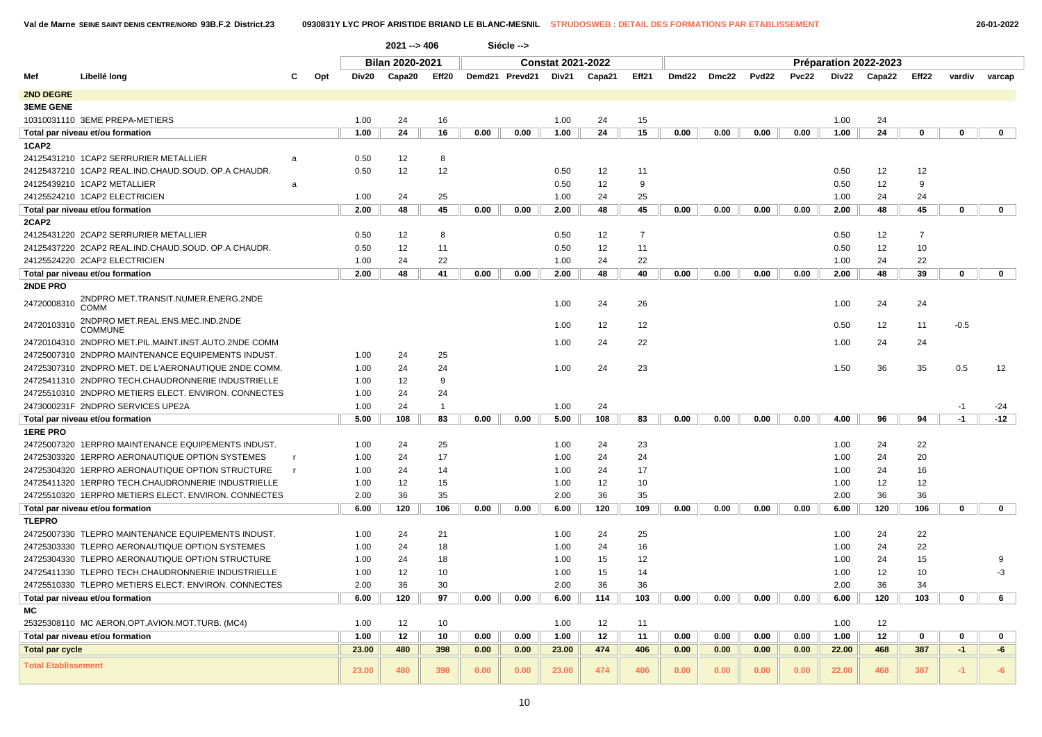**2021 --> 406 Siécle -->**

 $\overline{1}$ 

|                            |                                                                  |     |       | <b>Bilan 2020-2021</b> |                |                |      | <b>Constat 2021-2022</b> |        |                |       |       |                   |       |       | Préparation 2022-2023 |                   |             |              |
|----------------------------|------------------------------------------------------------------|-----|-------|------------------------|----------------|----------------|------|--------------------------|--------|----------------|-------|-------|-------------------|-------|-------|-----------------------|-------------------|-------------|--------------|
| Mef                        | Libellé long                                                     | Opt | Div20 | Capa20                 | Eff20          | Demd21 Prevd21 |      | Div21                    | Capa21 | Eff21          | Dmd22 | Dmc22 | Pvd <sub>22</sub> | Pvc22 | Div22 | Capa22                | Eff <sub>22</sub> | vardiv      | varcap       |
| <b>2ND DEGRE</b>           |                                                                  |     |       |                        |                |                |      |                          |        |                |       |       |                   |       |       |                       |                   |             |              |
| <b>3EME GENE</b>           |                                                                  |     |       |                        |                |                |      |                          |        |                |       |       |                   |       |       |                       |                   |             |              |
|                            | 10310031110 3EME PREPA-METIERS                                   |     | 1.00  | 24                     | 16             |                |      | 1.00                     | 24     | 15             |       |       |                   |       | 1.00  | 24                    |                   |             |              |
|                            | Total par niveau et/ou formation                                 |     | 1.00  | 24                     | 16             | 0.00           | 0.00 | 1.00                     | 24     | 15             | 0.00  | 0.00  | 0.00              | 0.00  | 1.00  | 24                    | $\mathbf 0$       | $\mathbf 0$ | $\mathbf 0$  |
| 1CAP2                      |                                                                  |     |       |                        |                |                |      |                          |        |                |       |       |                   |       |       |                       |                   |             |              |
|                            | 24125431210 1CAP2 SERRURIER METALLIER<br>a                       |     | 0.50  | 12                     | 8              |                |      |                          |        |                |       |       |                   |       |       |                       |                   |             |              |
|                            | 24125437210 1CAP2 REAL.IND.CHAUD.SOUD. OP.A CHAUDR.              |     | 0.50  | 12                     | 12             |                |      | 0.50                     | 12     | 11             |       |       |                   |       | 0.50  | 12                    | 12                |             |              |
|                            | 24125439210 1CAP2 METALLIER<br>a                                 |     |       |                        |                |                |      | 0.50                     | 12     | 9              |       |       |                   |       | 0.50  | 12                    | 9                 |             |              |
|                            | 24125524210 1CAP2 ELECTRICIEN                                    |     | 1.00  | 24                     | 25             |                |      | 1.00                     | 24     | 25             |       |       |                   |       | 1.00  | 24                    | 24                |             |              |
|                            | Total par niveau et/ou formation                                 |     | 2.00  | 48                     | 45             | 0.00           | 0.00 | 2.00                     | 48     | 45             | 0.00  | 0.00  | 0.00              | 0.00  | 2.00  | 48                    | 45                | $\mathbf 0$ | $\mathbf{0}$ |
| 2CAP2                      |                                                                  |     |       |                        |                |                |      |                          |        |                |       |       |                   |       |       |                       |                   |             |              |
|                            | 24125431220 2CAP2 SERRURIER METALLIER                            |     | 0.50  | 12                     | 8              |                |      | 0.50                     | 12     | $\overline{7}$ |       |       |                   |       | 0.50  | 12                    | $\overline{7}$    |             |              |
|                            | 24125437220 2CAP2 REAL.IND.CHAUD.SOUD. OP.A CHAUDR.              |     | 0.50  | 12                     | 11             |                |      | 0.50                     | 12     | 11             |       |       |                   |       | 0.50  | 12                    | 10                |             |              |
|                            | 24125524220 2CAP2 ELECTRICIEN                                    |     | 1.00  | 24                     | 22             |                |      | 1.00                     | 24     | 22             |       |       |                   |       | 1.00  | 24                    | 22                |             |              |
|                            | Total par niveau et/ou formation                                 |     | 2.00  | 48                     | 41             | 0.00           | 0.00 | 2.00                     | 48     | 40             | 0.00  | 0.00  | 0.00              | 0.00  | 2.00  | 48                    | 39                | $\mathbf 0$ | $\mathbf{0}$ |
| <b>2NDE PRO</b>            |                                                                  |     |       |                        |                |                |      |                          |        |                |       |       |                   |       |       |                       |                   |             |              |
| 24720008310                | 2NDPRO MET.TRANSIT.NUMER.ENERG.2NDE<br>COMM                      |     |       |                        |                |                |      | 1.00                     | 24     | 26             |       |       |                   |       | 1.00  | 24                    | 24                |             |              |
| 24720103310                | 2NDPRO MET.REAL.ENS.MEC.IND.2NDE<br><b>COMMUNE</b>               |     |       |                        |                |                |      | 1.00                     | 12     | 12             |       |       |                   |       | 0.50  | 12                    | 11                | $-0.5$      |              |
|                            | 24720104310 2NDPRO MET.PIL.MAINT.INST.AUTO.2NDE COMM             |     |       |                        |                |                |      | 1.00                     | 24     | 22             |       |       |                   |       | 1.00  | 24                    | 24                |             |              |
|                            | 24725007310 2NDPRO MAINTENANCE EQUIPEMENTS INDUST.               |     | 1.00  | 24                     | 25             |                |      |                          |        |                |       |       |                   |       |       |                       |                   |             |              |
|                            | 24725307310 2NDPRO MET. DE L'AERONAUTIQUE 2NDE COMM.             |     | 1.00  | 24                     | 24             |                |      | 1.00                     | 24     | 23             |       |       |                   |       | 1.50  | 36                    | 35                | 0.5         | 12           |
|                            | 24725411310 2NDPRO TECH.CHAUDRONNERIE INDUSTRIELLE               |     | 1.00  | 12                     | 9              |                |      |                          |        |                |       |       |                   |       |       |                       |                   |             |              |
|                            | 24725510310 2NDPRO METIERS ELECT. ENVIRON. CONNECTES             |     | 1.00  | 24                     | 24             |                |      |                          |        |                |       |       |                   |       |       |                       |                   |             |              |
|                            | 2473000231F 2NDPRO SERVICES UPE2A                                |     | 1.00  | 24                     | $\overline{1}$ |                |      | 1.00                     | 24     |                |       |       |                   |       |       |                       |                   | $-1$        | -24          |
|                            | Total par niveau et/ou formation                                 |     | 5.00  | 108                    | 83             | 0.00           | 0.00 | 5.00                     | 108    | 83             | 0.00  | 0.00  | 0.00              | 0.00  | 4.00  | 96                    | 94                | $-1$        | $-12$        |
| <b>1ERE PRO</b>            |                                                                  |     |       |                        |                |                |      |                          |        |                |       |       |                   |       |       |                       |                   |             |              |
|                            | 24725007320_1ERPRO MAINTENANCE EQUIPEMENTS INDUST.               |     | 1.00  | 24                     | 25             |                |      | 1.00                     | 24     | 23             |       |       |                   |       | 1.00  | 24                    | 22                |             |              |
|                            | 24725303320_1ERPRO AERONAUTIQUE OPTION SYSTEMES<br>$\mathsf{r}$  |     | 1.00  | 24                     | 17             |                |      | 1.00                     | 24     | 24             |       |       |                   |       | 1.00  | 24                    | 20                |             |              |
|                            | 24725304320 1ERPRO AERONAUTIQUE OPTION STRUCTURE<br>$\mathbf{r}$ |     | 1.00  | 24                     | 14             |                |      | 1.00                     | 24     | 17             |       |       |                   |       | 1.00  | 24                    | 16                |             |              |
|                            | 24725411320 1ERPRO TECH.CHAUDRONNERIE INDUSTRIELLE               |     | 1.00  | 12                     | 15             |                |      | 1.00                     | 12     | 10             |       |       |                   |       | 1.00  | 12                    | 12                |             |              |
|                            | 24725510320 1ERPRO METIERS ELECT. ENVIRON. CONNECTES             |     | 2.00  | 36                     | 35             |                |      | 2.00                     | 36     | 35             |       |       |                   |       | 2.00  | 36                    | 36                |             |              |
|                            | Total par niveau et/ou formation                                 |     | 6.00  | 120                    | 106            | 0.00           | 0.00 | 6.00                     | 120    | 109            | 0.00  | 0.00  | 0.00              | 0.00  | 6.00  | 120                   | 106               | $\mathbf 0$ | $\mathbf{0}$ |
| <b>TLEPRO</b>              |                                                                  |     |       |                        |                |                |      |                          |        |                |       |       |                   |       |       |                       |                   |             |              |
|                            | 24725007330 TLEPRO MAINTENANCE EQUIPEMENTS INDUST.               |     | 1.00  | 24                     | 21             |                |      | 1.00                     | 24     | 25             |       |       |                   |       | 1.00  | 24                    | 22                |             |              |
|                            | 24725303330 TLEPRO AERONAUTIQUE OPTION SYSTEMES                  |     | 1.00  | 24                     | 18             |                |      | 1.00                     | 24     | 16             |       |       |                   |       | 1.00  | 24                    | 22                |             |              |
|                            | 24725304330 TLEPRO AERONAUTIQUE OPTION STRUCTURE                 |     | 1.00  | 24                     | 18             |                |      | 1.00                     | 15     | 12             |       |       |                   |       | 1.00  | 24                    | 15                |             | 9            |
|                            | 24725411330 TLEPRO TECH.CHAUDRONNERIE INDUSTRIELLE               |     | 1.00  | 12                     | 10             |                |      | 1.00                     | 15     | 14             |       |       |                   |       | 1.00  | 12                    | 10                |             | $-3$         |
|                            | 24725510330 TLEPRO METIERS ELECT. ENVIRON. CONNECTES             |     | 2.00  | 36                     | 30             |                |      | 2.00                     | 36     | 36             |       |       |                   |       | 2.00  | 36                    | 34                |             |              |
|                            | Total par niveau et/ou formation                                 |     | 6.00  | 120                    | 97             | 0.00           | 0.00 | 6.00                     | 114    | 103            | 0.00  | 0.00  | 0.00              | 0.00  | 6.00  | 120                   | 103               | 0           | 6            |
| МC                         |                                                                  |     |       |                        |                |                |      |                          |        |                |       |       |                   |       |       |                       |                   |             |              |
|                            | 25325308110 MC AERON.OPT.AVION.MOT.TURB. (MC4)                   |     | 1.00  | 12                     | 10             |                |      | 1.00                     | 12     | 11             |       |       |                   |       | 1.00  | 12                    |                   |             |              |
|                            | Total par niveau et/ou formation                                 |     | 1.00  | 12                     | 10             | 0.00           | 0.00 | 1.00                     | 12     | 11             | 0.00  | 0.00  | 0.00              | 0.00  | 1.00  | 12                    | $\mathbf 0$       | 0           | 0            |
| <b>Total par cycle</b>     |                                                                  |     | 23.00 | 480                    | 398            | 0.00           | 0.00 | 23.00                    | 474    | 406            | 0.00  | 0.00  | 0.00              | 0.00  | 22.00 | 468                   | 387               | $-1$        | -6           |
| <b>Total Etablissement</b> |                                                                  |     | 23.00 | 480                    | 398            | 0.00           | 0.00 | 23.00                    | 474    | 406            | 0.00  | 0.00  | 0.00              | 0.00  | 22.00 | 468                   | 387               | $-1$        | $-6$         |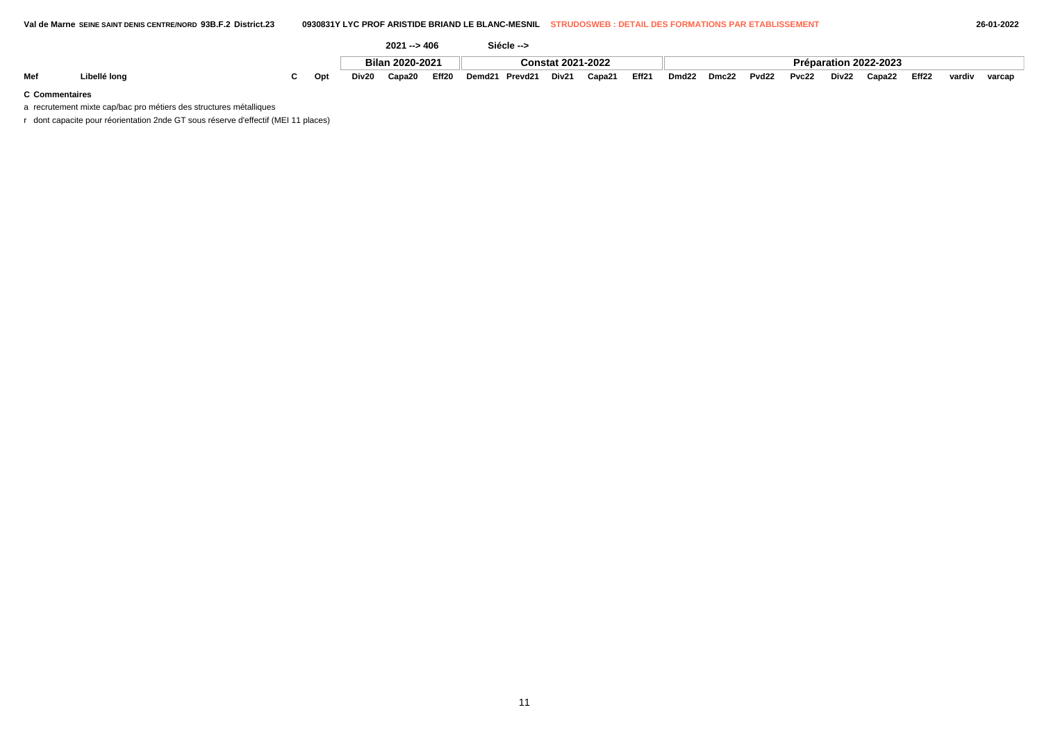Mef Libellé long chapace the C Opt Div20 Capa20 Eff20 Demd21 Prevd21 Div21 Capa21 Eff21 Dmd22 Dmc22 Pvd22 Pvc22 Div22 Capa22 Eff22 vardiv varcap

### **C Commentaires**

a recrutement mixte cap/bac pro métiers des structures métalliques

r dont capacite pour réorientation 2nde GT sous réserve d'effectif (MEI 11 places)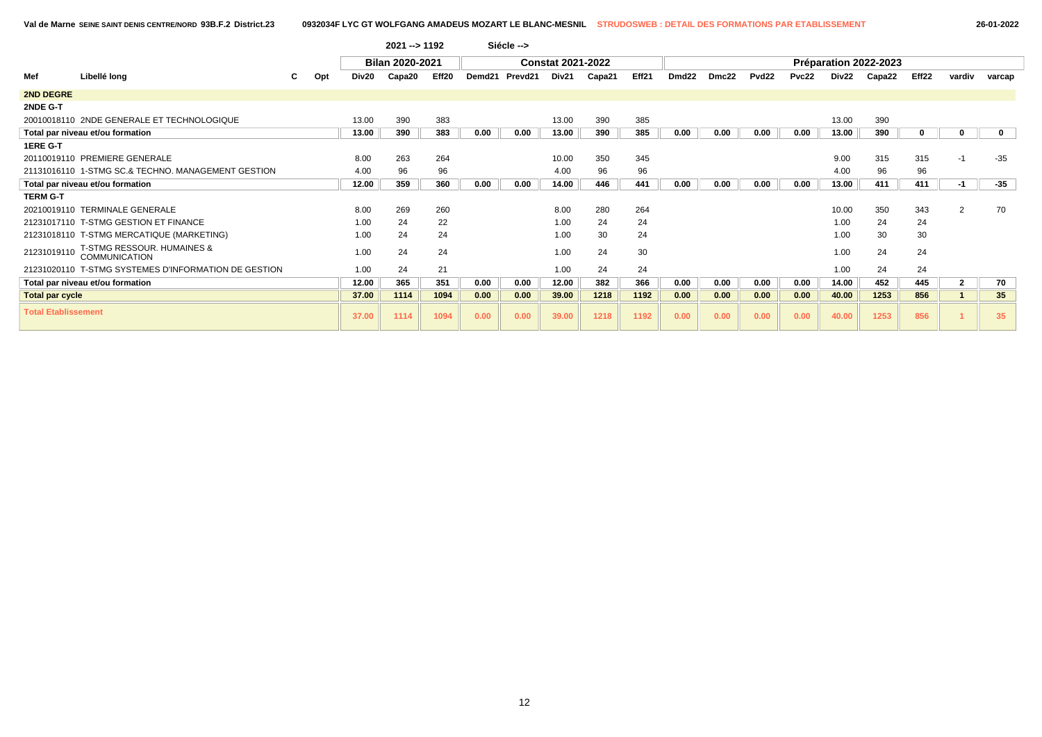|                            |                                                               |   |     |       | 2021 -- > 1192  |       |        | Siécle --> |                          |        |       |                   |       |                   |       |       |                       |             |                |              |
|----------------------------|---------------------------------------------------------------|---|-----|-------|-----------------|-------|--------|------------|--------------------------|--------|-------|-------------------|-------|-------------------|-------|-------|-----------------------|-------------|----------------|--------------|
|                            |                                                               |   |     |       | Bilan 2020-2021 |       |        |            | <b>Constat 2021-2022</b> |        |       |                   |       |                   |       |       | Préparation 2022-2023 |             |                |              |
| Mef                        | Libellé long                                                  | С | Opt | Div20 | Capa20          | Eff20 | Demd21 | Prevd21    | Div21                    | Capa21 | Eff21 | Dmd <sub>22</sub> | Dmc22 | Pvd <sub>22</sub> | Pvc22 | Div22 | Capa22                | Eff22       | vardiv         | varcap       |
| 2ND DEGRE                  |                                                               |   |     |       |                 |       |        |            |                          |        |       |                   |       |                   |       |       |                       |             |                |              |
| 2NDE G-T                   |                                                               |   |     |       |                 |       |        |            |                          |        |       |                   |       |                   |       |       |                       |             |                |              |
|                            | 20010018110 2NDE GENERALE ET TECHNOLOGIQUE                    |   |     | 13.00 | 390             | 383   |        |            | 13.00                    | 390    | 385   |                   |       |                   |       | 13.00 | 390                   |             |                |              |
|                            | Total par niveau et/ou formation                              |   |     | 13.00 | 390             | 383   | 0.00   | 0.00       | 13.00                    | 390    | 385   | 0.00              | 0.00  | 0.00              | 0.00  | 13.00 | 390                   | $\mathbf 0$ | 0              | $\mathbf{0}$ |
| 1ERE G-T                   |                                                               |   |     |       |                 |       |        |            |                          |        |       |                   |       |                   |       |       |                       |             |                |              |
|                            | 20110019110 PREMIERE GENERALE                                 |   |     | 8.00  | 263             | 264   |        |            | 10.00                    | 350    | 345   |                   |       |                   |       | 9.00  | 315                   | 315         | -1             | $-35$        |
|                            | 21131016110 1-STMG SC.& TECHNO. MANAGEMENT GESTION            |   |     | 4.00  | 96              | 96    |        |            | 4.00                     | 96     | 96    |                   |       |                   |       | 4.00  | 96                    | 96          |                |              |
|                            | Total par niveau et/ou formation                              |   |     | 12.00 | 359             | 360   | 0.00   | 0.00       | 14.00                    | 446    | 441   | 0.00              | 0.00  | 0.00              | 0.00  | 13.00 | 411                   | 411         | -1             | -35          |
| <b>TERM G-T</b>            |                                                               |   |     |       |                 |       |        |            |                          |        |       |                   |       |                   |       |       |                       |             |                |              |
|                            | 20210019110 TERMINALE GENERALE                                |   |     | 8.00  | 269             | 260   |        |            | 8.00                     | 280    | 264   |                   |       |                   |       | 10.00 | 350                   | 343         | 2              | 70           |
|                            | 21231017110 T-STMG GESTION ET FINANCE                         |   |     | 1.00  | 24              | 22    |        |            | 1.00                     | 24     | 24    |                   |       |                   |       | 1.00  | 24                    | 24          |                |              |
|                            | 21231018110 T-STMG MERCATIQUE (MARKETING)                     |   |     | 1.00  | 24              | 24    |        |            | 1.00                     | 30     | 24    |                   |       |                   |       | 1.00  | 30                    | 30          |                |              |
| 21231019110                | <b>T-STMG RESSOUR. HUMAINES &amp;</b><br><b>COMMUNICATION</b> |   |     | 1.00  | 24              | 24    |        |            | 1.00                     | 24     | 30    |                   |       |                   |       | 1.00  | 24                    | 24          |                |              |
|                            | 21231020110 T-STMG SYSTEMES D'INFORMATION DE GESTION          |   |     | 1.00  | 24              | 21    |        |            | 1.00                     | 24     | 24    |                   |       |                   |       | 1.00  | 24                    | 24          |                |              |
|                            | Total par niveau et/ou formation                              |   |     | 12.00 | 365             | 351   | 0.00   | 0.00       | 12.00                    | 382    | 366   | 0.00              | 0.00  | 0.00              | 0.00  | 14.00 | 452                   | 445         | $\overline{2}$ | 70           |
| <b>Total par cycle</b>     |                                                               |   |     | 37.00 | 1114            | 1094  | 0.00   | 0.00       | 39.00                    | 1218   | 1192  | 0.00              | 0.00  | 0.00              | 0.00  | 40.00 | 1253                  | 856         |                | 35           |
| <b>Total Etablissement</b> |                                                               |   |     | 37.00 | 1114            | 1094  | 0.00   | 0.00       | 39.00                    | 1218   | 1192  | 0.00              | 0.00  | 0.00              | 0.00  | 40.00 | 1253                  | 856         |                | 35           |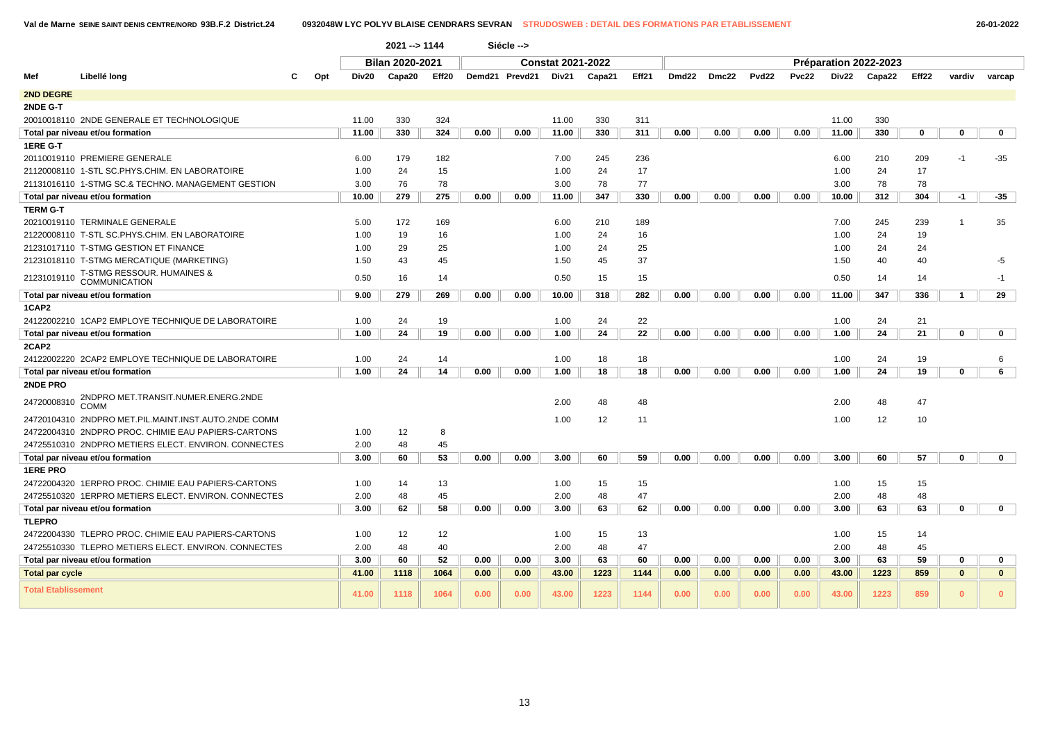|                            |                                                      |     |       | 2021 -- > 1144         |       |      | Siécle -->     |                          |        |       |       |       |                   |       |       |                       |       |                |              |
|----------------------------|------------------------------------------------------|-----|-------|------------------------|-------|------|----------------|--------------------------|--------|-------|-------|-------|-------------------|-------|-------|-----------------------|-------|----------------|--------------|
|                            |                                                      |     |       | <b>Bilan 2020-2021</b> |       |      |                | <b>Constat 2021-2022</b> |        |       |       |       |                   |       |       | Préparation 2022-2023 |       |                |              |
| Mef                        | Libellé long                                         | Opt | Div20 | Capa20                 | Eff20 |      | Demd21 Prevd21 | Div21                    | Capa21 | Eff21 | Dmd22 | Dmc22 | Pvd <sub>22</sub> | Pvc22 | Div22 | Capa22                | Eff22 | vardiv         | varcap       |
| <b>2ND DEGRE</b>           |                                                      |     |       |                        |       |      |                |                          |        |       |       |       |                   |       |       |                       |       |                |              |
| 2NDE G-T                   |                                                      |     |       |                        |       |      |                |                          |        |       |       |       |                   |       |       |                       |       |                |              |
|                            | 20010018110 2NDE GENERALE ET TECHNOLOGIQUE           |     | 11.00 | 330                    | 324   |      |                | 11.00                    | 330    | 311   |       |       |                   |       | 11.00 | 330                   |       |                |              |
|                            | Total par niveau et/ou formation                     |     | 11.00 | 330                    | 324   | 0.00 | 0.00           | 11.00                    | 330    | 311   | 0.00  | 0.00  | 0.00              | 0.00  | 11.00 | 330                   | 0     | 0              | $\mathbf 0$  |
| 1ERE G-T                   |                                                      |     |       |                        |       |      |                |                          |        |       |       |       |                   |       |       |                       |       |                |              |
|                            | 20110019110 PREMIERE GENERALE                        |     | 6.00  | 179                    | 182   |      |                | 7.00                     | 245    | 236   |       |       |                   |       | 6.00  | 210                   | 209   | -1             | -35          |
|                            | 21120008110 1-STL SC.PHYS.CHIM. EN LABORATOIRE       |     | 1.00  | 24                     | 15    |      |                | 1.00                     | 24     | 17    |       |       |                   |       | 1.00  | 24                    | 17    |                |              |
|                            | 21131016110 1-STMG SC.& TECHNO. MANAGEMENT GESTION   |     | 3.00  | 76                     | 78    |      |                | 3.00                     | 78     | 77    |       |       |                   |       | 3.00  | 78                    | 78    |                |              |
|                            | Total par niveau et/ou formation                     |     | 10.00 | 279                    | 275   | 0.00 | 0.00           | 11.00                    | 347    | 330   | 0.00  | 0.00  | 0.00              | 0.00  | 10.00 | 312                   | 304   | $-1$           | $-35$        |
| <b>TERM G-T</b>            |                                                      |     |       |                        |       |      |                |                          |        |       |       |       |                   |       |       |                       |       |                |              |
|                            | 20210019110 TERMINALE GENERALE                       |     | 5.00  | 172                    | 169   |      |                | 6.00                     | 210    | 189   |       |       |                   |       | 7.00  | 245                   | 239   | $\overline{1}$ | 35           |
|                            | 21220008110 T-STL SC.PHYS.CHIM. EN LABORATOIRE       |     | 1.00  | 19                     | 16    |      |                | 1.00                     | 24     | 16    |       |       |                   |       | 1.00  | 24                    | 19    |                |              |
|                            | 21231017110 T-STMG GESTION ET FINANCE                |     | 1.00  | 29                     | 25    |      |                | 1.00                     | 24     | 25    |       |       |                   |       | 1.00  | 24                    | 24    |                |              |
|                            | 21231018110 T-STMG MERCATIQUE (MARKETING)            |     | 1.50  | 43                     | 45    |      |                | 1.50                     | 45     | 37    |       |       |                   |       | 1.50  | 40                    | 40    |                | -5           |
| 21231019110                | T-STMG RESSOUR. HUMAINES &<br>COMMUNICATION          |     | 0.50  | 16                     | 14    |      |                | 0.50                     | 15     | 15    |       |       |                   |       | 0.50  | 14                    | 14    |                | $-1$         |
|                            | Total par niveau et/ou formation                     |     | 9.00  | 279                    | 269   | 0.00 | 0.00           | 10.00                    | 318    | 282   | 0.00  | 0.00  | 0.00              | 0.00  | 11.00 | 347                   | 336   | $\mathbf{1}$   | 29           |
| 1CAP2                      |                                                      |     |       |                        |       |      |                |                          |        |       |       |       |                   |       |       |                       |       |                |              |
|                            | 24122002210 1CAP2 EMPLOYE TECHNIQUE DE LABORATOIRE   |     | 1.00  | 24                     | 19    |      |                | 1.00                     | 24     | 22    |       |       |                   |       | 1.00  | 24                    | 21    |                |              |
|                            | Total par niveau et/ou formation                     |     | 1.00  | 24                     | 19    | 0.00 | 0.00           | 1.00                     | 24     | 22    | 0.00  | 0.00  | 0.00              | 0.00  | 1.00  | 24                    | 21    | 0              | $\mathbf 0$  |
| 2CAP2                      |                                                      |     |       |                        |       |      |                |                          |        |       |       |       |                   |       |       |                       |       |                |              |
|                            | 24122002220 2CAP2 EMPLOYE TECHNIQUE DE LABORATOIRE   |     | 1.00  | 24                     | 14    |      |                | 1.00                     | 18     | 18    |       |       |                   |       | 1.00  | 24                    | 19    |                | 6            |
|                            | Total par niveau et/ou formation                     |     | 1.00  | 24                     | 14    | 0.00 | 0.00           | 1.00                     | 18     | 18    | 0.00  | 0.00  | 0.00              | 0.00  | 1.00  | 24                    | 19    | 0              | 6            |
| 2NDE PRO                   |                                                      |     |       |                        |       |      |                |                          |        |       |       |       |                   |       |       |                       |       |                |              |
| 24720008310                | 2NDPRO MET.TRANSIT.NUMER.ENERG.2NDE<br><b>COMM</b>   |     |       |                        |       |      |                | 2.00                     | 48     | 48    |       |       |                   |       | 2.00  | 48                    | 47    |                |              |
|                            | 24720104310 2NDPRO MET.PIL.MAINT.INST.AUTO.2NDE COMM |     |       |                        |       |      |                | 1.00                     | 12     | 11    |       |       |                   |       | 1.00  | 12                    | 10    |                |              |
|                            | 24722004310 2NDPRO PROC. CHIMIE EAU PAPIERS-CARTONS  |     | 1.00  | 12                     | 8     |      |                |                          |        |       |       |       |                   |       |       |                       |       |                |              |
|                            | 24725510310 2NDPRO METIERS ELECT. ENVIRON, CONNECTES |     | 2.00  | 48                     | 45    |      |                |                          |        |       |       |       |                   |       |       |                       |       |                |              |
|                            | Total par niveau et/ou formation                     |     | 3.00  | 60                     | 53    | 0.00 | 0.00           | 3.00                     | 60     | 59    | 0.00  | 0.00  | 0.00              | 0.00  | 3.00  | 60                    | 57    | 0              | $\mathbf 0$  |
| <b>1ERE PRO</b>            |                                                      |     |       |                        |       |      |                |                          |        |       |       |       |                   |       |       |                       |       |                |              |
|                            | 24722004320 1ERPRO PROC. CHIMIE EAU PAPIERS-CARTONS  |     | 1.00  | 14                     | 13    |      |                | 1.00                     | 15     | 15    |       |       |                   |       | 1.00  | 15                    | 15    |                |              |
|                            | 24725510320 1ERPRO METIERS ELECT. ENVIRON. CONNECTES |     | 2.00  | 48                     | 45    |      |                | 2.00                     | 48     | 47    |       |       |                   |       | 2.00  | 48                    | 48    |                |              |
|                            | Total par niveau et/ou formation                     |     | 3.00  | 62                     | 58    | 0.00 | 0.00           | 3.00                     | 63     | 62    | 0.00  | 0.00  | 0.00              | 0.00  | 3.00  | 63                    | 63    | 0              | $\mathbf 0$  |
| <b>TLEPRO</b>              |                                                      |     |       |                        |       |      |                |                          |        |       |       |       |                   |       |       |                       |       |                |              |
|                            | 24722004330 TLEPRO PROC. CHIMIE EAU PAPIERS-CARTONS  |     | 1.00  | 12                     | 12    |      |                | 1.00                     | 15     | 13    |       |       |                   |       | 1.00  | 15                    | 14    |                |              |
|                            | 24725510330 TLEPRO METIERS ELECT. ENVIRON. CONNECTES |     | 2.00  | 48                     | 40    |      |                | 2.00                     | 48     | 47    |       |       |                   |       | 2.00  | 48                    | 45    |                |              |
|                            | Total par niveau et/ou formation                     |     | 3.00  | 60                     | 52    | 0.00 | 0.00           | 3.00                     | 63     | 60    | 0.00  | 0.00  | 0.00              | 0.00  | 3.00  | 63                    | 59    | 0              | 0            |
| <b>Total par cycle</b>     |                                                      |     | 41.00 | 1118                   | 1064  | 0.00 | 0.00           | 43.00                    | 1223   | 1144  | 0.00  | 0.00  | 0.00              | 0.00  | 43.00 | 1223                  | 859   | $\mathbf{0}$   | $\mathbf{0}$ |
| <b>Total Etablissement</b> |                                                      |     | 41.00 | 1118                   | 1064  | 0.00 | 0.00           | 43.00                    | 1223   | 1144  | 0.00  | 0.00  | 0.00              | 0.00  | 43.00 | 1223                  | 859   | $\Omega$       | 0            |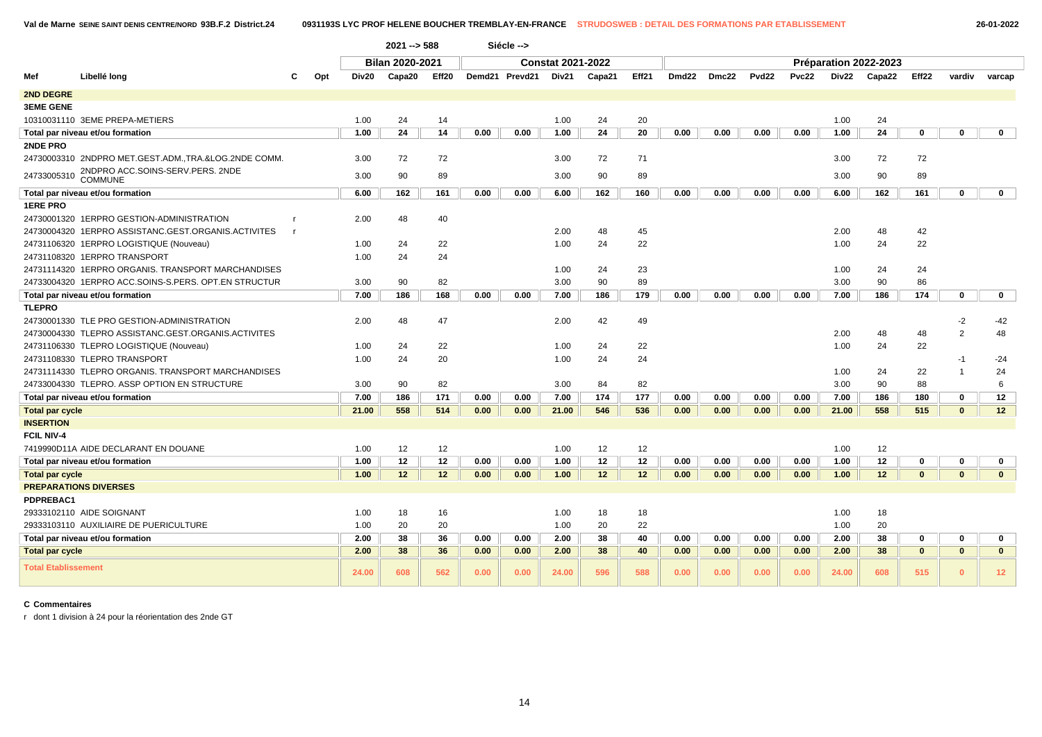|                        |                                                       | $2021 - 588$<br>Siécle --> |       |                        |       |      |                |                          |        |       |                   |       |                   |              |       |                       |              |              |              |
|------------------------|-------------------------------------------------------|----------------------------|-------|------------------------|-------|------|----------------|--------------------------|--------|-------|-------------------|-------|-------------------|--------------|-------|-----------------------|--------------|--------------|--------------|
|                        |                                                       |                            |       | <b>Bilan 2020-2021</b> |       |      |                | <b>Constat 2021-2022</b> |        |       |                   |       |                   |              |       | Préparation 2022-2023 |              |              |              |
| Mef                    | Libellé long                                          | Opt                        | Div20 | Capa20                 | Eff20 |      | Demd21 Prevd21 | Div21                    | Capa21 | Eff21 | Dmd <sub>22</sub> | Dmc22 | Pvd <sub>22</sub> | <b>Pvc22</b> | Div22 | Capa22                | Eff22        | vardiv       | varcap       |
| <b>2ND DEGRE</b>       |                                                       |                            |       |                        |       |      |                |                          |        |       |                   |       |                   |              |       |                       |              |              |              |
| <b>3EME GENE</b>       |                                                       |                            |       |                        |       |      |                |                          |        |       |                   |       |                   |              |       |                       |              |              |              |
|                        | 10310031110 3EME PREPA-METIERS                        |                            | 1.00  | 24                     | 14    |      |                | 1.00                     | 24     | 20    |                   |       |                   |              | 1.00  | 24                    |              |              |              |
|                        | Total par niveau et/ou formation                      |                            | 1.00  | 24                     | 14    | 0.00 | 0.00           | 1.00                     | 24     | 20    | 0.00              | 0.00  | 0.00              | 0.00         | 1.00  | 24                    | 0            | 0            | $\mathbf 0$  |
| 2NDE PRO               |                                                       |                            |       |                        |       |      |                |                          |        |       |                   |       |                   |              |       |                       |              |              |              |
|                        | 24730003310 2NDPRO MET.GEST.ADM., TRA.&LOG.2NDE COMM. |                            | 3.00  | 72                     | 72    |      |                | 3.00                     | 72     | 71    |                   |       |                   |              | 3.00  | 72                    | 72           |              |              |
| 24733005310            | 2NDPRO ACC.SOINS-SERV.PERS. 2NDE<br><b>COMMUNE</b>    |                            | 3.00  | 90                     | 89    |      |                | 3.00                     | 90     | 89    |                   |       |                   |              | 3.00  | 90                    | 89           |              |              |
|                        | Total par niveau et/ou formation                      |                            | 6.00  | 162                    | 161   | 0.00 | 0.00           | 6.00                     | 162    | 160   | 0.00              | 0.00  | 0.00              | 0.00         | 6.00  | 162                   | 161          | $\mathbf{0}$ | $\mathbf 0$  |
| <b>1ERE PRO</b>        |                                                       |                            |       |                        |       |      |                |                          |        |       |                   |       |                   |              |       |                       |              |              |              |
|                        | 24730001320 1ERPRO GESTION-ADMINISTRATION             |                            | 2.00  | 48                     | 40    |      |                |                          |        |       |                   |       |                   |              |       |                       |              |              |              |
|                        | 24730004320 1ERPRO ASSISTANC.GEST.ORGANIS.ACTIVITES   | - 1                        |       |                        |       |      |                | 2.00                     | 48     | 45    |                   |       |                   |              | 2.00  | 48                    | 42           |              |              |
|                        | 24731106320 1ERPRO LOGISTIQUE (Nouveau)               |                            | 1.00  | 24                     | 22    |      |                | 1.00                     | 24     | 22    |                   |       |                   |              | 1.00  | 24                    | 22           |              |              |
|                        | 24731108320 1ERPRO TRANSPORT                          |                            | 1.00  | 24                     | 24    |      |                |                          |        |       |                   |       |                   |              |       |                       |              |              |              |
|                        | 24731114320 1ERPRO ORGANIS. TRANSPORT MARCHANDISES    |                            |       |                        |       |      |                | 1.00                     | 24     | 23    |                   |       |                   |              | 1.00  | 24                    | 24           |              |              |
|                        | 24733004320 1ERPRO ACC.SOINS-S.PERS. OPT.EN STRUCTUR  |                            | 3.00  | 90                     | 82    |      |                | 3.00                     | 90     | 89    |                   |       |                   |              | 3.00  | 90                    | 86           |              |              |
|                        | Total par niveau et/ou formation                      |                            | 7.00  | 186                    | 168   | 0.00 | 0.00           | 7.00                     | 186    | 179   | 0.00              | 0.00  | 0.00              | 0.00         | 7.00  | 186                   | 174          | $\mathbf 0$  | $\mathbf 0$  |
| <b>TLEPRO</b>          |                                                       |                            |       |                        |       |      |                |                          |        |       |                   |       |                   |              |       |                       |              |              |              |
|                        | 24730001330 TLE PRO GESTION-ADMINISTRATION            |                            | 2.00  | 48                     | 47    |      |                | 2.00                     | 42     | 49    |                   |       |                   |              |       |                       |              | $-2$         | $-42$        |
|                        | 24730004330 TLEPRO ASSISTANC.GEST.ORGANIS.ACTIVITES   |                            |       |                        |       |      |                |                          |        |       |                   |       |                   |              | 2.00  | 48                    | 48           | 2            | 48           |
|                        | 24731106330 TLEPRO LOGISTIQUE (Nouveau)               |                            | 1.00  | 24                     | 22    |      |                | 1.00                     | 24     | 22    |                   |       |                   |              | 1.00  | 24                    | 22           |              |              |
|                        | 24731108330 TLEPRO TRANSPORT                          |                            | 1.00  | 24                     | 20    |      |                | 1.00                     | 24     | 24    |                   |       |                   |              |       |                       |              | -1           | $-24$        |
|                        | 24731114330 TLEPRO ORGANIS. TRANSPORT MARCHANDISES    |                            |       |                        |       |      |                |                          |        |       |                   |       |                   |              | 1.00  | 24                    | 22           |              | 24           |
|                        | 24733004330 TLEPRO. ASSP OPTION EN STRUCTURE          |                            | 3.00  | 90                     | 82    |      |                | 3.00                     | 84     | 82    |                   |       |                   |              | 3.00  | 90                    | 88           |              | 6            |
|                        | Total par niveau et/ou formation                      |                            | 7.00  | 186                    | 171   | 0.00 | 0.00           | 7.00                     | 174    | 177   | 0.00              | 0.00  | 0.00              | 0.00         | 7.00  | 186                   | 180          | $\mathbf 0$  | 12           |
| Total par cycle        |                                                       |                            | 21.00 | 558                    | 514   | 0.00 | 0.00           | 21.00                    | 546    | 536   | 0.00              | 0.00  | 0.00              | 0.00         | 21.00 | 558                   | 515          | $\bf{0}$     | 12           |
| <b>INSERTION</b>       |                                                       |                            |       |                        |       |      |                |                          |        |       |                   |       |                   |              |       |                       |              |              |              |
| <b>FCIL NIV-4</b>      |                                                       |                            |       |                        |       |      |                |                          |        |       |                   |       |                   |              |       |                       |              |              |              |
|                        | 7419990D11A AIDE DECLARANT EN DOUANE                  |                            | 1.00  | 12                     | 12    |      |                | 1.00                     | 12     | 12    |                   |       |                   |              | 1.00  | 12                    |              |              |              |
|                        | Total par niveau et/ou formation                      |                            | 1.00  | 12                     | 12    | 0.00 | 0.00           | 1.00                     | 12     | 12    | 0.00              | 0.00  | 0.00              | 0.00         | 1.00  | 12                    | $\bf{0}$     | $\Omega$     | 0            |
| <b>Total par cycle</b> |                                                       |                            | 1.00  | 12                     | 12    | 0.00 | 0.00           | 1.00                     | 12     | 12    | 0.00              | 0.00  | 0.00              | 0.00         | 1.00  | 12                    | $\mathbf{0}$ | $\mathbf{0}$ | $\mathbf{0}$ |
|                        | <b>PREPARATIONS DIVERSES</b>                          |                            |       |                        |       |      |                |                          |        |       |                   |       |                   |              |       |                       |              |              |              |
| PDPREBAC1              |                                                       |                            |       |                        |       |      |                |                          |        |       |                   |       |                   |              |       |                       |              |              |              |
|                        | 29333102110 AIDE SOIGNANT                             |                            | 1.00  | 18                     | 16    |      |                | 1.00                     | 18     | 18    |                   |       |                   |              | 1.00  | 18                    |              |              |              |
|                        | 29333103110 AUXILIAIRE DE PUERICULTURE                |                            | 1.00  | 20                     | 20    |      |                | 1.00                     | 20     | 22    |                   |       |                   |              | 1.00  | 20                    |              |              |              |
|                        | Total par niveau et/ou formation                      |                            | 2.00  | 38                     | 36    | 0.00 | 0.00           | 2.00                     | 38     | 40    | 0.00              | 0.00  | 0.00              | 0.00         | 2.00  | 38                    | 0            | 0            | 0            |

r dont 1 division à 24 pour la réorientation des 2nde GT

14

**Total par cycle 2.00 38 36 0.00 0.00 2.00 38 40 0.00 0.00 0.00 0.00 2.00 38 0 0 0 Total Etablissement 24.00 <sup>608</sup> <sup>562</sup> 0.00 0.00 24.00 <sup>596</sup> <sup>588</sup> 0.00 0.00 0.00 0.00 24.00 <sup>608</sup> <sup>515</sup> <sup>0</sup> <sup>12</sup>**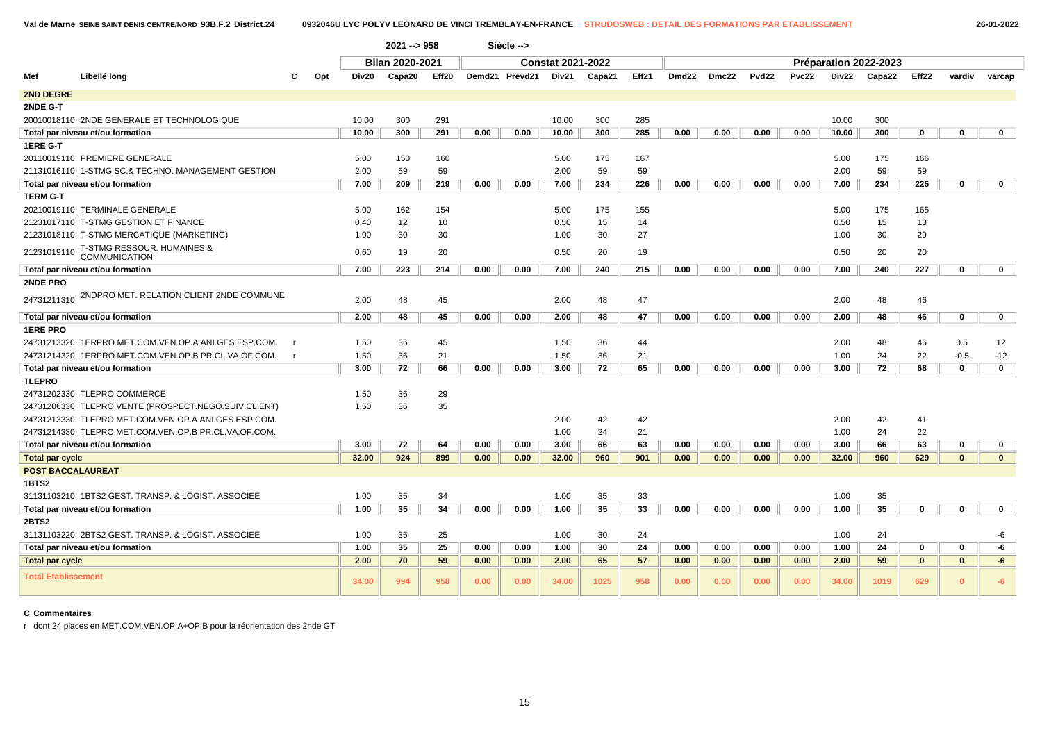|                            |                                                      |              | $2021 - 958$    |       |      | Siécle -->     |                          |        |       |                       |       |                   |              |              |        |              |              |              |
|----------------------------|------------------------------------------------------|--------------|-----------------|-------|------|----------------|--------------------------|--------|-------|-----------------------|-------|-------------------|--------------|--------------|--------|--------------|--------------|--------------|
|                            |                                                      |              | Bilan 2020-2021 |       |      |                | <b>Constat 2021-2022</b> |        |       | Préparation 2022-2023 |       |                   |              |              |        |              |              |              |
| Mef                        | Libellé long                                         | Opt<br>Div20 | Capa20          | Eff20 |      | Demd21 Prevd21 | Div21                    | Capa21 | Eff21 | Dmd22                 | Dmc22 | Pvd <sub>22</sub> | <b>Pvc22</b> | <b>Div22</b> | Capa22 | Eff22        | vardiv       | varcap       |
| <b>2ND DEGRE</b>           |                                                      |              |                 |       |      |                |                          |        |       |                       |       |                   |              |              |        |              |              |              |
| 2NDE G-T                   |                                                      |              |                 |       |      |                |                          |        |       |                       |       |                   |              |              |        |              |              |              |
|                            | 20010018110 2NDE GENERALE ET TECHNOLOGIQUE           | 10.00        | 300             | 291   |      |                | 10.00                    | 300    | 285   |                       |       |                   |              | 10.00        | 300    |              |              |              |
|                            | Total par niveau et/ou formation                     | 10.00        | 300             | 291   | 0.00 | 0.00           | 10.00                    | 300    | 285   | 0.00                  | 0.00  | 0.00              | 0.00         | 10.00        | 300    | 0            | 0            | $\mathbf 0$  |
| 1ERE G-T                   |                                                      |              |                 |       |      |                |                          |        |       |                       |       |                   |              |              |        |              |              |              |
|                            | 20110019110 PREMIERE GENERALE                        | 5.00         | 150             | 160   |      |                | 5.00                     | 175    | 167   |                       |       |                   |              | 5.00         | 175    | 166          |              |              |
|                            | 21131016110 1-STMG SC.& TECHNO. MANAGEMENT GESTION   | 2.00         | 59              | 59    |      |                | 2.00                     | 59     | 59    |                       |       |                   |              | 2.00         | 59     | 59           |              |              |
|                            | Total par niveau et/ou formation                     | 7.00         | 209             | 219   | 0.00 | 0.00           | 7.00                     | 234    | 226   | 0.00                  | 0.00  | 0.00              | 0.00         | 7.00         | 234    | 225          | $\bf{0}$     | $\mathbf 0$  |
| <b>TERM G-T</b>            |                                                      |              |                 |       |      |                |                          |        |       |                       |       |                   |              |              |        |              |              |              |
|                            | 20210019110 TERMINALE GENERALE                       | 5.00         | 162             | 154   |      |                | 5.00                     | 175    | 155   |                       |       |                   |              | 5.00         | 175    | 165          |              |              |
|                            | 21231017110 T-STMG GESTION ET FINANCE                | 0.40         | 12              | 10    |      |                | 0.50                     | 15     | 14    |                       |       |                   |              | 0.50         | 15     | 13           |              |              |
|                            | 21231018110 T-STMG MERCATIQUE (MARKETING)            | 1.00         | 30              | 30    |      |                | 1.00                     | 30     | 27    |                       |       |                   |              | 1.00         | 30     | 29           |              |              |
| 21231019110                | T-STMG RESSOUR. HUMAINES & COMMUNICATION             | 0.60         | 19              | 20    |      |                | 0.50                     | 20     | 19    |                       |       |                   |              | 0.50         | 20     | 20           |              |              |
|                            | Total par niveau et/ou formation                     | 7.00         | 223             | 214   | 0.00 | 0.00           | 7.00                     | 240    | 215   | 0.00                  | 0.00  | 0.00              | 0.00         | 7.00         | 240    | 227          | 0            | $\mathbf 0$  |
| 2NDE PRO                   |                                                      |              |                 |       |      |                |                          |        |       |                       |       |                   |              |              |        |              |              |              |
| 24731211310                | 2NDPRO MET. RELATION CLIENT 2NDE COMMUNE             | 2.00         | 48              | 45    |      |                | 2.00                     | 48     | 47    |                       |       |                   |              | 2.00         | 48     | 46           |              |              |
|                            | Total par niveau et/ou formation                     | 2.00         | 48              | 45    | 0.00 | 0.00           | 2.00                     | 48     | 47    | 0.00                  | 0.00  | 0.00              | 0.00         | 2.00         | 48     | 46           | 0            | $\mathbf 0$  |
| <b>1ERE PRO</b>            |                                                      |              |                 |       |      |                |                          |        |       |                       |       |                   |              |              |        |              |              |              |
|                            | 24731213320 1ERPRO MET.COM.VEN.OP.A ANI.GES.ESP.COM. | 1.50         | 36              | 45    |      |                | 1.50                     | 36     | 44    |                       |       |                   |              | 2.00         | 48     | 46           | 0.5          | 12           |
|                            | 24731214320 1ERPRO MET.COM.VEN.OP.B PR.CL.VA.OF.COM. | 1.50         | 36              | 21    |      |                | 1.50                     | 36     | 21    |                       |       |                   |              | 1.00         | 24     | 22           | $-0.5$       | $-12$        |
|                            | Total par niveau et/ou formation                     | 3.00         | 72              | 66    | 0.00 | 0.00           | 3.00                     | 72     | 65    | 0.00                  | 0.00  | 0.00              | 0.00         | 3.00         | 72     | 68           | $\mathbf{0}$ | $\mathbf 0$  |
| <b>TLEPRO</b>              |                                                      |              |                 |       |      |                |                          |        |       |                       |       |                   |              |              |        |              |              |              |
|                            | 24731202330 TLEPRO COMMERCE                          | 1.50         | 36              | 29    |      |                |                          |        |       |                       |       |                   |              |              |        |              |              |              |
|                            | 24731206330 TLEPRO VENTE (PROSPECT.NEGO.SUIV.CLIENT) | 1.50         | 36              | 35    |      |                |                          |        |       |                       |       |                   |              |              |        |              |              |              |
|                            | 24731213330 TLEPRO MET.COM.VEN.OP.A ANI.GES.ESP.COM. |              |                 |       |      |                | 2.00                     | 42     | 42    |                       |       |                   |              | 2.00         | 42     | 41           |              |              |
|                            | 24731214330 TLEPRO MET.COM.VEN.OP.B PR.CL.VA.OF.COM. |              |                 |       |      |                | 1.00                     | 24     | 21    |                       |       |                   |              | 1.00         | 24     | 22           |              |              |
|                            | Total par niveau et/ou formation                     | 3.00         | 72              | 64    | 0.00 | 0.00           | 3.00                     | 66     | 63    | 0.00                  | 0.00  | 0.00              | 0.00         | 3.00         | 66     | 63           | 0            | $\mathbf{0}$ |
| <b>Total par cycle</b>     |                                                      | 32.00        | 924             | 899   | 0.00 | 0.00           | 32.00                    | 960    | 901   | 0.00                  | 0.00  | 0.00              | 0.00         | 32.00        | 960    | 629          | $\bf{0}$     | $\mathbf{0}$ |
| <b>POST BACCALAUREAT</b>   |                                                      |              |                 |       |      |                |                          |        |       |                       |       |                   |              |              |        |              |              |              |
| 1BTS2                      |                                                      |              |                 |       |      |                |                          |        |       |                       |       |                   |              |              |        |              |              |              |
|                            | 31131103210 1BTS2 GEST, TRANSP, & LOGIST, ASSOCIEE   | 1.00         | 35              | 34    |      |                | 1.00                     | 35     | 33    |                       |       |                   |              | 1.00         | 35     |              |              |              |
|                            | Total par niveau et/ou formation                     | 1.00         | 35              | 34    | 0.00 | 0.00           | 1.00                     | 35     | 33    | 0.00                  | 0.00  | 0.00              | 0.00         | 1.00         | 35     | 0            | 0            | $\mathbf 0$  |
| 2BTS2                      |                                                      |              |                 |       |      |                |                          |        |       |                       |       |                   |              |              |        |              |              |              |
|                            | 31131103220 2BTS2 GEST. TRANSP. & LOGIST. ASSOCIEE   | 1.00         | 35              | 25    |      |                | 1.00                     | 30     | 24    |                       |       |                   |              | 1.00         | 24     |              |              | -6           |
|                            | Total par niveau et/ou formation                     | 1.00         | 35              | 25    | 0.00 | 0.00           | 1.00                     | 30     | 24    | 0.00                  | 0.00  | 0.00              | 0.00         | 1.00         | 24     | 0            | 0            | -6           |
| <b>Total par cycle</b>     |                                                      | 2.00         | 70              | 59    | 0.00 | 0.00           | 2.00                     | 65     | 57    | 0.00                  | 0.00  | 0.00              | 0.00         | 2.00         | 59     | $\mathbf{0}$ | $\mathbf{0}$ | -6           |
| <b>Total Etablissement</b> |                                                      | 34.00        | 994             | 958   | 0.00 | 0.00           | 34.00                    | 1025   | 958   | 0.00                  | 0.00  | 0.00              | 0.00         | 34.00        | 1019   | 629          | $\mathbf{0}$ | $-6$         |

r dont 24 places en MET.COM.VEN.OP.A+OP.B pour la réorientation des 2nde GT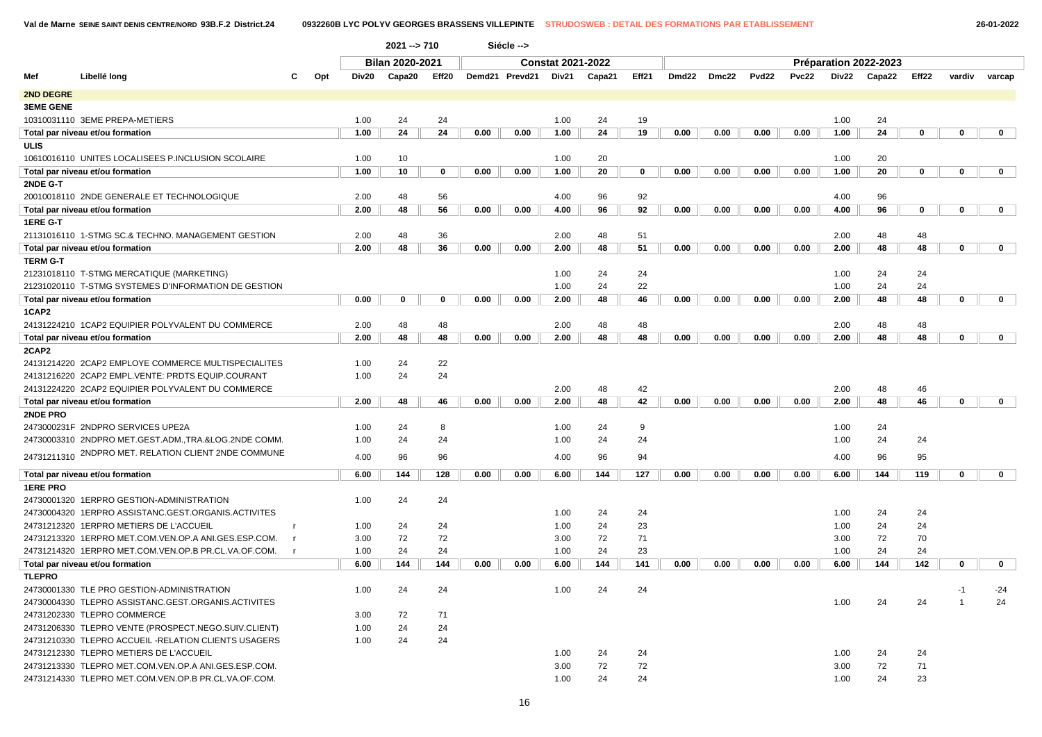|                  |                                                      |              |                        | $2021 - 710$ |          |      | Siécle -->     |                          |        |             |       |       |       |       |      |                       |             |             |              |  |
|------------------|------------------------------------------------------|--------------|------------------------|--------------|----------|------|----------------|--------------------------|--------|-------------|-------|-------|-------|-------|------|-----------------------|-------------|-------------|--------------|--|
|                  |                                                      |              | <b>Bilan 2020-2021</b> |              |          |      |                | <b>Constat 2021-2022</b> |        |             |       |       |       |       |      | Préparation 2022-2023 |             |             |              |  |
| Mef              | Libellé long                                         | C<br>Opt     | Div20                  | Capa20       | Eff20    |      | Demd21 Prevd21 | Div21                    | Capa21 | Eff21       | Dmd22 | Dmc22 | Pvd22 | Pvc22 |      | Div22 Capa22          | Eff22       | vardiv      | varcap       |  |
| <b>2ND DEGRE</b> |                                                      |              |                        |              |          |      |                |                          |        |             |       |       |       |       |      |                       |             |             |              |  |
| <b>3EME GENE</b> |                                                      |              |                        |              |          |      |                |                          |        |             |       |       |       |       |      |                       |             |             |              |  |
|                  | 10310031110 3EME PREPA-METIERS                       |              | 1.00                   | 24           | 24       |      |                | 1.00                     | 24     | 19          |       |       |       |       | 1.00 | 24                    |             |             |              |  |
|                  | Total par niveau et/ou formation                     |              | 1.00                   | 24           | 24       | 0.00 | 0.00           | 1.00                     | 24     | 19          | 0.00  | 0.00  | 0.00  | 0.00  | 1.00 | 24                    | $\mathbf 0$ | $\mathbf 0$ | $\mathbf 0$  |  |
| ULIS             |                                                      |              |                        |              |          |      |                |                          |        |             |       |       |       |       |      |                       |             |             |              |  |
|                  | 10610016110 UNITES LOCALISEES P.INCLUSION SCOLAIRE   |              | 1.00                   | 10           |          |      |                | 1.00                     | 20     |             |       |       |       |       | 1.00 | 20                    |             |             |              |  |
|                  | Total par niveau et/ou formation                     |              | 1.00                   | 10           | 0        | 0.00 | 0.00           | 1.00                     | 20     | $\mathbf 0$ | 0.00  | 0.00  | 0.00  | 0.00  | 1.00 | 20                    | 0           | $\mathbf 0$ | $\mathbf 0$  |  |
| 2NDE G-T         |                                                      |              |                        |              |          |      |                |                          |        |             |       |       |       |       |      |                       |             |             |              |  |
|                  | 20010018110 2NDE GENERALE ET TECHNOLOGIQUE           |              | 2.00                   | 48           | 56       |      |                | 4.00                     | 96     | 92          |       |       |       |       | 4.00 | 96                    |             |             |              |  |
|                  | Total par niveau et/ou formation                     |              | 2.00                   | 48           | 56       | 0.00 | 0.00           | 4.00                     | 96     | 92          | 0.00  | 0.00  | 0.00  | 0.00  | 4.00 | 96                    | $\mathbf 0$ | $\mathbf 0$ | $\mathbf{0}$ |  |
| 1ERE G-T         |                                                      |              |                        |              |          |      |                |                          |        |             |       |       |       |       |      |                       |             |             |              |  |
|                  | 21131016110 1-STMG SC.& TECHNO. MANAGEMENT GESTION   |              | 2.00                   | 48           | 36       |      |                | 2.00                     | 48     | 51          |       |       |       |       | 2.00 | 48                    | 48          |             |              |  |
|                  | Total par niveau et/ou formation                     |              | 2.00                   | 48           | 36       | 0.00 | 0.00           | 2.00                     | 48     | 51          | 0.00  | 0.00  | 0.00  | 0.00  | 2.00 | 48                    | 48          | $\mathbf 0$ | $\mathbf{0}$ |  |
| <b>TERM G-T</b>  |                                                      |              |                        |              |          |      |                |                          |        |             |       |       |       |       |      |                       |             |             |              |  |
|                  | 21231018110 T-STMG MERCATIQUE (MARKETING)            |              |                        |              |          |      |                | 1.00                     | 24     | 24          |       |       |       |       | 1.00 | 24                    | 24          |             |              |  |
|                  | 21231020110 T-STMG SYSTEMES D'INFORMATION DE GESTION |              |                        |              |          |      |                | 1.00                     | 24     | 22          |       |       |       |       | 1.00 | 24                    | 24          |             |              |  |
|                  | Total par niveau et/ou formation                     |              | 0.00                   | 0            | $\Omega$ | 0.00 | 0.00           | 2.00                     | 48     | 46          | 0.00  | 0.00  | 0.00  | 0.00  | 2.00 | 48                    | 48          | 0           | $\mathbf{0}$ |  |
| 1CAP2            |                                                      |              |                        |              |          |      |                |                          |        |             |       |       |       |       |      |                       |             |             |              |  |
|                  | 24131224210 1CAP2 EQUIPIER POLYVALENT DU COMMERCE    |              | 2.00                   | 48           | 48       |      |                | 2.00                     | 48     | 48          |       |       |       |       | 2.00 | 48                    | 48          |             |              |  |
|                  | Total par niveau et/ou formation                     |              | 2.00                   | 48           | 48       | 0.00 | 0.00           | 2.00                     | 48     | 48          | 0.00  | 0.00  | 0.00  | 0.00  | 2.00 | 48                    | 48          | $\mathbf 0$ | $\mathbf{0}$ |  |
| 2CAP2            |                                                      |              |                        |              |          |      |                |                          |        |             |       |       |       |       |      |                       |             |             |              |  |
|                  | 24131214220 2CAP2 EMPLOYE COMMERCE MULTISPECIALITES  |              | 1.00                   | 24           | 22       |      |                |                          |        |             |       |       |       |       |      |                       |             |             |              |  |
|                  | 24131216220 2CAP2 EMPL.VENTE: PRDTS EQUIP.COURANT    |              | 1.00                   | 24           | 24       |      |                |                          |        |             |       |       |       |       |      |                       |             |             |              |  |
|                  | 24131224220 2CAP2 EQUIPIER POLYVALENT DU COMMERCE    |              |                        |              |          |      |                | 2.00                     | 48     | 42          |       |       |       |       | 2.00 | 48                    | 46          |             |              |  |
|                  | Total par niveau et/ou formation                     |              | 2.00                   | 48           | 46       | 0.00 | 0.00           | 2.00                     | 48     | 42          | 0.00  | 0.00  | 0.00  | 0.00  | 2.00 | 48                    | 46          | $\mathbf 0$ | $\mathbf{0}$ |  |
| 2NDE PRO         |                                                      |              |                        |              |          |      |                |                          |        |             |       |       |       |       |      |                       |             |             |              |  |
|                  | 2473000231F 2NDPRO SERVICES UPE2A                    |              | 1.00                   | 24           | 8        |      |                | 1.00                     | 24     | 9           |       |       |       |       | 1.00 | 24                    |             |             |              |  |
|                  | 24730003310 2NDPRO MET.GEST.ADM.,TRA.&LOG.2NDE COMM. |              | 1.00                   | 24           | 24       |      |                | 1.00                     | 24     | 24          |       |       |       |       | 1.00 | 24                    | 24          |             |              |  |
|                  | 24731211310 2NDPRO MET. RELATION CLIENT 2NDE COMMUNE |              | 4.00                   | 96           | 96       |      |                | 4.00                     | 96     | 94          |       |       |       |       | 4.00 | 96                    | 95          |             |              |  |
|                  | Total par niveau et/ou formation                     |              | 6.00                   | 144          | 128      | 0.00 | 0.00           | 6.00                     | 144    | 127         | 0.00  | 0.00  | 0.00  | 0.00  | 6.00 | 144                   | 119         | $\mathbf 0$ | $\mathbf 0$  |  |
| <b>1ERE PRO</b>  |                                                      |              |                        |              |          |      |                |                          |        |             |       |       |       |       |      |                       |             |             |              |  |
|                  | 24730001320 1ERPRO GESTION-ADMINISTRATION            |              | 1.00                   | 24           | 24       |      |                |                          |        |             |       |       |       |       |      |                       |             |             |              |  |
|                  | 24730004320 1ERPRO ASSISTANC.GEST.ORGANIS.ACTIVITES  |              |                        |              |          |      |                | 1.00                     | 24     | 24          |       |       |       |       | 1.00 | 24                    | 24          |             |              |  |
|                  | 24731212320 1ERPRO METIERS DE L'ACCUEIL              |              | 1.00                   | 24           | 24       |      |                | 1.00                     | 24     | 23          |       |       |       |       | 1.00 | 24                    | 24          |             |              |  |
|                  | 24731213320 1ERPRO MET.COM.VEN.OP.A ANI.GES.ESP.COM. | <b>r</b>     | 3.00                   | 72           | 72       |      |                | 3.00                     | 72     | 71          |       |       |       |       | 3.00 | 72                    | 70          |             |              |  |
|                  | 24731214320 1ERPRO MET.COM.VEN.OP.B PR.CL.VA.OF.COM. | $\mathsf{r}$ | 1.00                   | 24           | 24       |      |                | 1.00                     | 24     | 23          |       |       |       |       | 1.00 | 24                    | 24          |             |              |  |
|                  | Total par niveau et/ou formation                     |              | 6.00                   | 144          | 144      | 0.00 | 0.00           | 6.00                     | 144    | 141         | 0.00  | 0.00  | 0.00  | 0.00  | 6.00 | 144                   | 142         | $\bf{0}$    | $\mathbf 0$  |  |
| <b>TLEPRO</b>    |                                                      |              |                        |              |          |      |                |                          |        |             |       |       |       |       |      |                       |             |             |              |  |
|                  | 24730001330 TLE PRO GESTION-ADMINISTRATION           |              | 1.00                   | 24           | 24       |      |                | 1.00                     | 24     | 24          |       |       |       |       |      |                       |             | -1          | -24          |  |
|                  | 24730004330 TLEPRO ASSISTANC.GEST.ORGANIS.ACTIVITES  |              |                        |              |          |      |                |                          |        |             |       |       |       |       | 1.00 | 24                    | 24          |             | 24           |  |
|                  | 24731202330 TLEPRO COMMERCE                          |              | 3.00                   | 72           | 71       |      |                |                          |        |             |       |       |       |       |      |                       |             |             |              |  |
|                  | 24731206330 TLEPRO VENTE (PROSPECT.NEGO.SUIV.CLIENT) |              | 1.00                   | 24           | 24       |      |                |                          |        |             |       |       |       |       |      |                       |             |             |              |  |
|                  | 24731210330 TLEPRO ACCUEIL -RELATION CLIENTS USAGERS |              | 1.00                   | 24           | 24       |      |                |                          |        |             |       |       |       |       |      |                       |             |             |              |  |
|                  | 24731212330 TLEPRO METIERS DE L'ACCUEIL              |              |                        |              |          |      |                | 1.00                     | 24     | 24          |       |       |       |       | 1.00 | 24                    | 24          |             |              |  |
|                  | 24731213330 TLEPRO MET.COM.VEN.OP.A ANI.GES.ESP.COM. |              |                        |              |          |      |                | 3.00                     | 72     | 72          |       |       |       |       | 3.00 | 72                    | 71          |             |              |  |
|                  | 24731214330 TLEPRO MET.COM.VEN.OP.B PR.CL.VA.OF.COM. |              |                        |              |          |      |                | 1.00                     | 24     | 24          |       |       |       |       | 1.00 | 24                    | 23          |             |              |  |
|                  |                                                      |              |                        |              |          |      |                |                          |        |             |       |       |       |       |      |                       |             |             |              |  |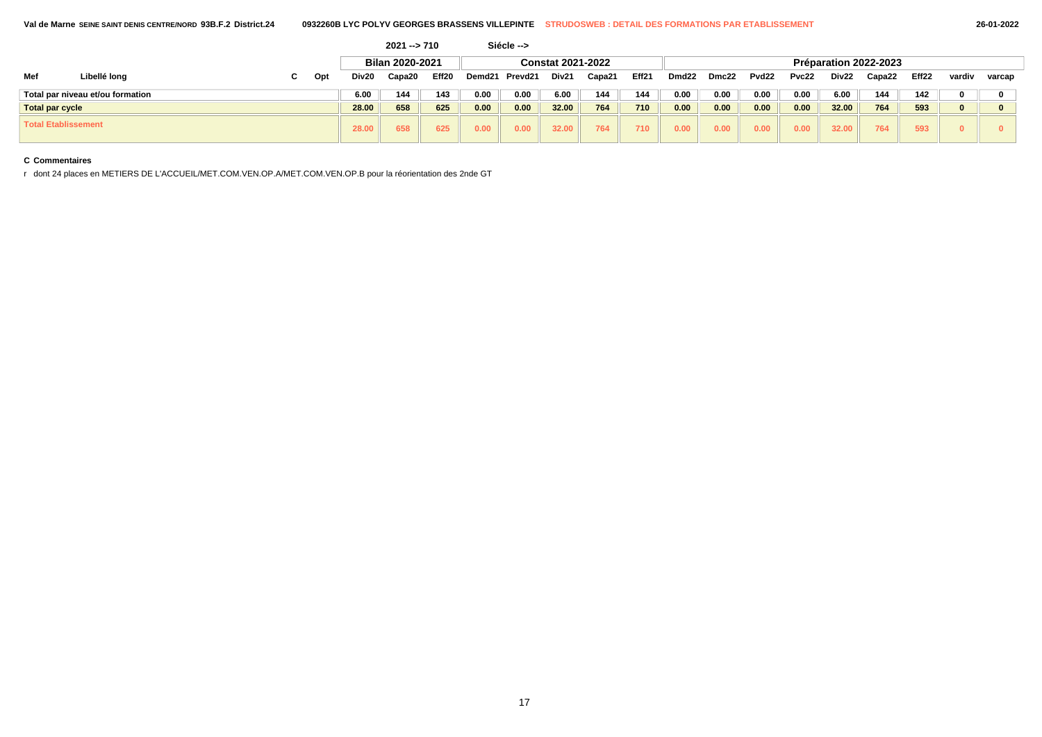|                            |                                  |   |     |       | $2021 - 710$    |                   |                          | Siécle -->         |       |        |       |                       |       |                   |       |       |        |       |          |        |  |  |
|----------------------------|----------------------------------|---|-----|-------|-----------------|-------------------|--------------------------|--------------------|-------|--------|-------|-----------------------|-------|-------------------|-------|-------|--------|-------|----------|--------|--|--|
|                            |                                  |   |     |       | Bilan 2020-2021 |                   | <b>Constat 2021-2022</b> |                    |       |        |       | Préparation 2022-2023 |       |                   |       |       |        |       |          |        |  |  |
| Mef                        | Libellé long                     | u | Opt | Div20 | Capa20          | Eff <sub>20</sub> | Demd <sub>21</sub>       | Prevd <sub>2</sub> | Div21 | Capa21 | Eff21 | Dmd <sub>22</sub>     | Dmc22 | Pvd <sub>22</sub> | Pvc22 | Div22 | Capa22 | Eff22 | vardiv   | varcap |  |  |
|                            | Total par niveau et/ou formation |   |     | 6.00  | 144             | 143               | 0.00                     | 0.00               | 6.00  | 144    | 144   | 0.00                  | 0.00  | 0.00              | 0.00  | 6.00  | 144    | 142   | 0        |        |  |  |
| <b>Total par cycle</b>     |                                  |   |     | 28.00 | 658             | 625               | 0.00                     | 0.00               | 32.00 | 764    | 710   | 0.00                  | 0.00  | 0.00              | 0.00  | 32.00 | 764    | 593   | $\bf{0}$ |        |  |  |
| <b>Total Etablissement</b> |                                  |   |     | 28.00 | 658             | 625               | 0.00                     | 0.00               | 32.00 | 764    | 710   | 0.00                  | 0.00  | 0.00              | 0.00  | 32.00 | 764    | 593   | n.       |        |  |  |

r dont 24 places en METIERS DE L'ACCUEIL/MET.COM.VEN.OP.A/MET.COM.VEN.OP.B pour la réorientation des 2nde GT